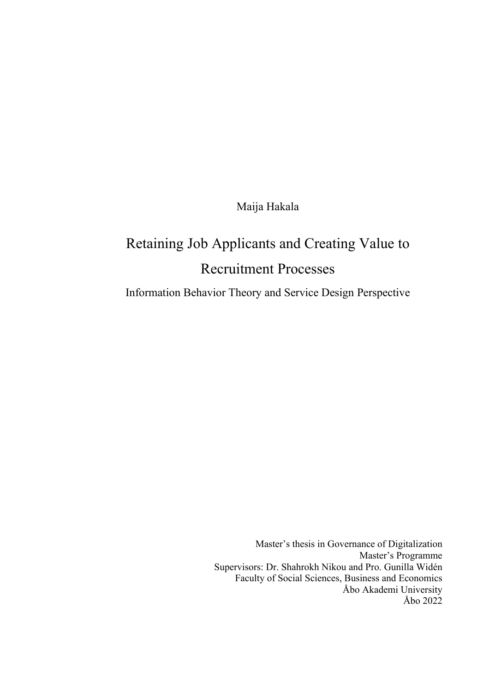Maija Hakala

# Retaining Job Applicants and Creating Value to Recruitment Processes

Information Behavior Theory and Service Design Perspective

Master's thesis in Governance of Digitalization Master's Programme Supervisors: Dr. Shahrokh Nikou and Pro. Gunilla Widén Faculty of Social Sciences, Business and Economics Åbo Akademi University Åbo 2022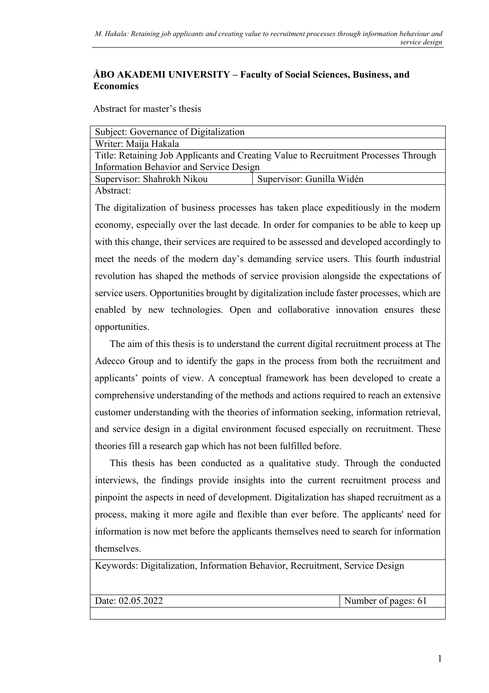#### **ÅBO AKADEMI UNIVERSITY – Faculty of Social Sciences, Business, and Economics**

Abstract for master's thesis

| Subject: Governance of Digitalization                                               |                           |  |
|-------------------------------------------------------------------------------------|---------------------------|--|
| Writer: Maija Hakala                                                                |                           |  |
| Title: Retaining Job Applicants and Creating Value to Recruitment Processes Through |                           |  |
| Information Behavior and Service Design                                             |                           |  |
| Supervisor: Shahrokh Nikou                                                          | Supervisor: Gunilla Widén |  |
| Abstract:                                                                           |                           |  |

The digitalization of business processes has taken place expeditiously in the modern economy, especially over the last decade. In order for companies to be able to keep up with this change, their services are required to be assessed and developed accordingly to meet the needs of the modern day's demanding service users. This fourth industrial revolution has shaped the methods of service provision alongside the expectations of service users. Opportunities brought by digitalization include faster processes, which are enabled by new technologies. Open and collaborative innovation ensures these opportunities.

 The aim of this thesis is to understand the current digital recruitment process at The Adecco Group and to identify the gaps in the process from both the recruitment and applicants' points of view. A conceptual framework has been developed to create a comprehensive understanding of the methods and actions required to reach an extensive customer understanding with the theories of information seeking, information retrieval, and service design in a digital environment focused especially on recruitment. These theories fill a research gap which has not been fulfilled before.

 This thesis has been conducted as a qualitative study. Through the conducted interviews, the findings provide insights into the current recruitment process and pinpoint the aspects in need of development. Digitalization has shaped recruitment as a process, making it more agile and flexible than ever before. The applicants' need for information is now met before the applicants themselves need to search for information themselves.

Keywords: Digitalization, Information Behavior, Recruitment, Service Design

Date: 02.05.2022 **Number of pages: 61**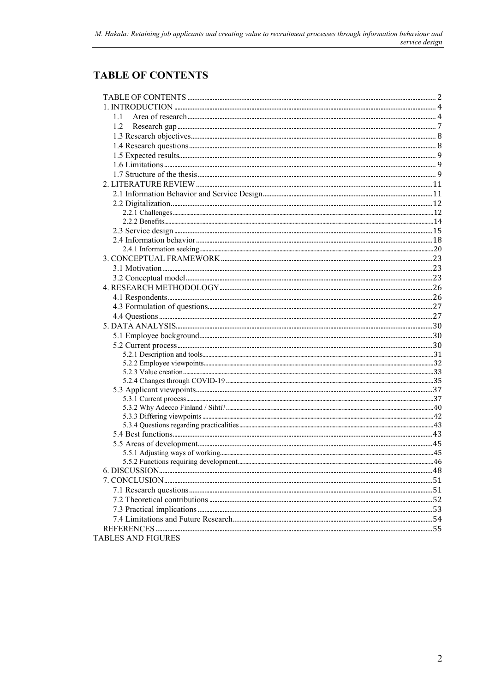# <span id="page-2-0"></span>**TABLE OF CONTENTS**

| 1.1<br>1.2<br><b>TABLES AND FIGURES</b> |  |
|-----------------------------------------|--|
|                                         |  |
|                                         |  |
|                                         |  |
|                                         |  |
|                                         |  |
|                                         |  |
|                                         |  |
|                                         |  |
|                                         |  |
|                                         |  |
|                                         |  |
|                                         |  |
|                                         |  |
|                                         |  |
|                                         |  |
|                                         |  |
|                                         |  |
|                                         |  |
|                                         |  |
|                                         |  |
|                                         |  |
|                                         |  |
|                                         |  |
|                                         |  |
|                                         |  |
|                                         |  |
|                                         |  |
|                                         |  |
|                                         |  |
|                                         |  |
|                                         |  |
|                                         |  |
|                                         |  |
|                                         |  |
|                                         |  |
|                                         |  |
|                                         |  |
|                                         |  |
|                                         |  |
|                                         |  |
|                                         |  |
|                                         |  |
|                                         |  |
|                                         |  |
|                                         |  |
|                                         |  |
|                                         |  |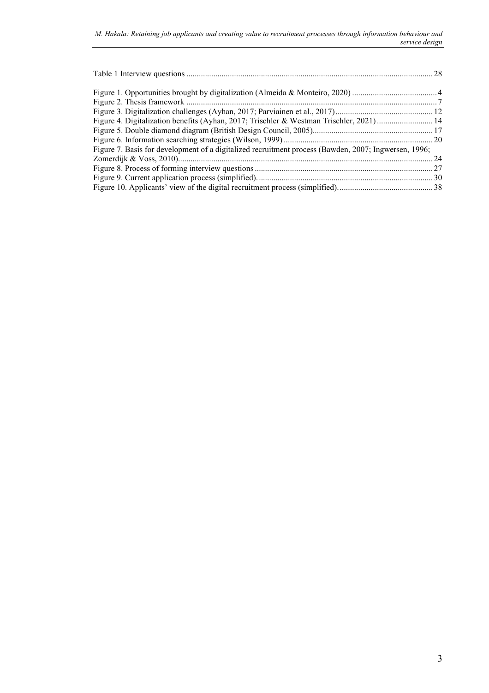| Figure 4. Digitalization benefits (Ayhan, 2017; Trischler & Westman Trischler, 2021)  14             |  |
|------------------------------------------------------------------------------------------------------|--|
|                                                                                                      |  |
|                                                                                                      |  |
| Figure 7. Basis for development of a digitalized recruitment process (Bawden, 2007; Ingwersen, 1996; |  |
|                                                                                                      |  |
|                                                                                                      |  |
|                                                                                                      |  |
|                                                                                                      |  |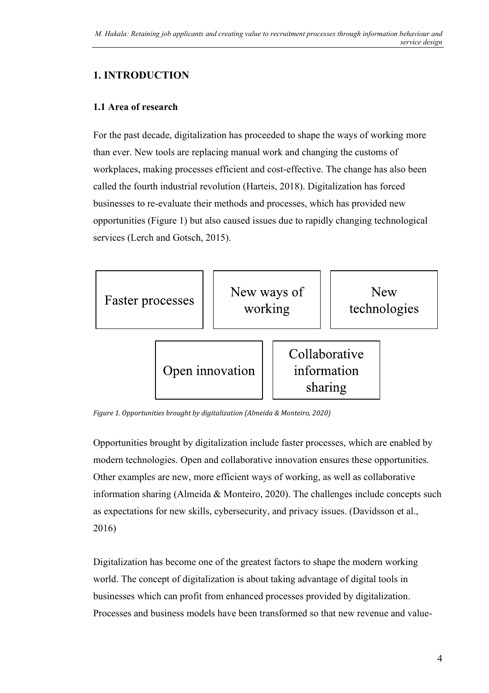# <span id="page-4-0"></span>**1. INTRODUCTION**

#### <span id="page-4-1"></span>**1.1 Area of research**

For the past decade, digitalization has proceeded to shape the ways of working more than ever. New tools are replacing manual work and changing the customs of workplaces, making processes efficient and cost-effective. The change has also been called the fourth industrial revolution (Harteis, 2018). Digitalization has forced businesses to re-evaluate their methods and processes, which has provided new opportunities (Figure 1) but also caused issues due to rapidly changing technological services (Lerch and Gotsch, 2015).



<span id="page-4-2"></span>*Figure 1. Opportunities brought by digitalization (Almeida & Monteiro, 2020)*

Opportunities brought by digitalization include faster processes, which are enabled by modern technologies. Open and collaborative innovation ensures these opportunities. Other examples are new, more efficient ways of working, as well as collaborative information sharing (Almeida & Monteiro, 2020). The challenges include concepts such as expectations for new skills, cybersecurity, and privacy issues. (Davidsson et al., 2016)

Digitalization has become one of the greatest factors to shape the modern working world. The concept of digitalization is about taking advantage of digital tools in businesses which can profit from enhanced processes provided by digitalization. Processes and business models have been transformed so that new revenue and value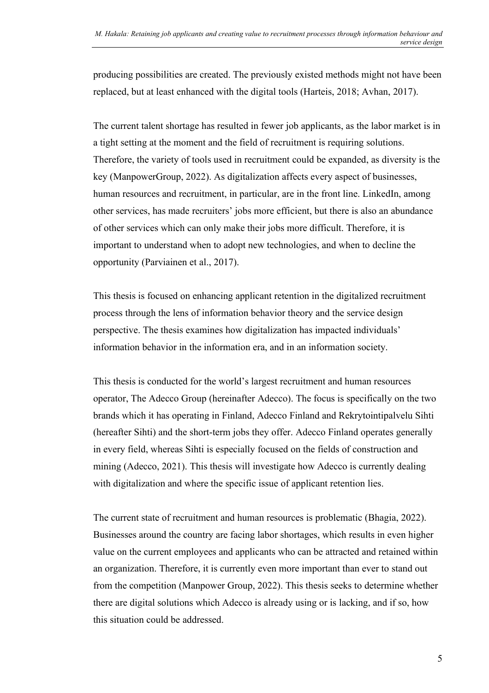producing possibilities are created. The previously existed methods might not have been replaced, but at least enhanced with the digital tools (Harteis, 2018; Avhan, 2017).

The current talent shortage has resulted in fewer job applicants, as the labor market is in a tight setting at the moment and the field of recruitment is requiring solutions. Therefore, the variety of tools used in recruitment could be expanded, as diversity is the key (ManpowerGroup, 2022). As digitalization affects every aspect of businesses, human resources and recruitment, in particular, are in the front line. LinkedIn, among other services, has made recruiters' jobs more efficient, but there is also an abundance of other services which can only make their jobs more difficult. Therefore, it is important to understand when to adopt new technologies, and when to decline the opportunity (Parviainen et al., 2017).

This thesis is focused on enhancing applicant retention in the digitalized recruitment process through the lens of information behavior theory and the service design perspective. The thesis examines how digitalization has impacted individuals' information behavior in the information era, and in an information society.

This thesis is conducted for the world's largest recruitment and human resources operator, The Adecco Group (hereinafter Adecco). The focus is specifically on the two brands which it has operating in Finland, Adecco Finland and Rekrytointipalvelu Sihti (hereafter Sihti) and the short-term jobs they offer. Adecco Finland operates generally in every field, whereas Sihti is especially focused on the fields of construction and mining (Adecco, 2021). This thesis will investigate how Adecco is currently dealing with digitalization and where the specific issue of applicant retention lies.

The current state of recruitment and human resources is problematic (Bhagia, 2022). Businesses around the country are facing labor shortages, which results in even higher value on the current employees and applicants who can be attracted and retained within an organization. Therefore, it is currently even more important than ever to stand out from the competition (Manpower Group, 2022). This thesis seeks to determine whether there are digital solutions which Adecco is already using or is lacking, and if so, how this situation could be addressed.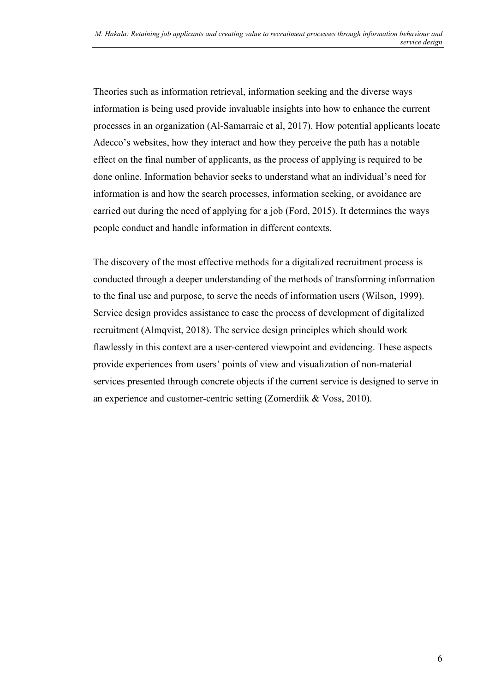Theories such as information retrieval, information seeking and the diverse ways information is being used provide invaluable insights into how to enhance the current processes in an organization (Al-Samarraie et al, 2017). How potential applicants locate Adecco's websites, how they interact and how they perceive the path has a notable effect on the final number of applicants, as the process of applying is required to be done online. Information behavior seeks to understand what an individual's need for information is and how the search processes, information seeking, or avoidance are carried out during the need of applying for a job (Ford, 2015). It determines the ways people conduct and handle information in different contexts.

The discovery of the most effective methods for a digitalized recruitment process is conducted through a deeper understanding of the methods of transforming information to the final use and purpose, to serve the needs of information users (Wilson, 1999). Service design provides assistance to ease the process of development of digitalized recruitment (Almqvist, 2018). The service design principles which should work flawlessly in this context are a user-centered viewpoint and evidencing. These aspects provide experiences from users' points of view and visualization of non-material services presented through concrete objects if the current service is designed to serve in an experience and customer-centric setting (Zomerdiik & Voss, 2010).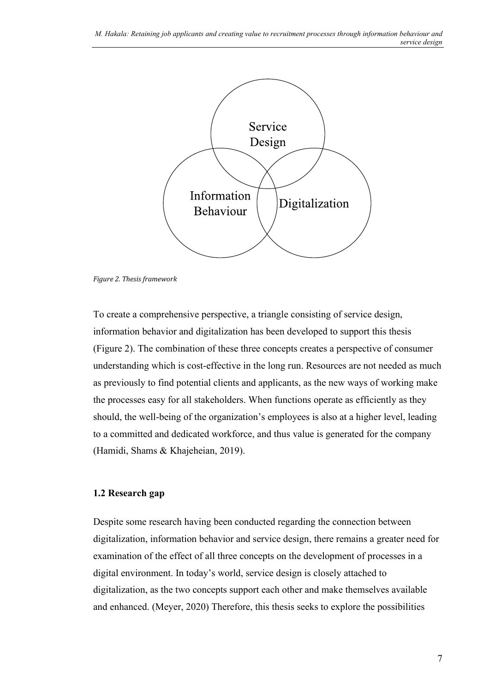

<span id="page-7-1"></span>*Figure 2. Thesis framework*

To create a comprehensive perspective, a triangle consisting of service design, information behavior and digitalization has been developed to support this thesis (Figure 2). The combination of these three concepts creates a perspective of consumer understanding which is cost-effective in the long run. Resources are not needed as much as previously to find potential clients and applicants, as the new ways of working make the processes easy for all stakeholders. When functions operate as efficiently as they should, the well-being of the organization's employees is also at a higher level, leading to a committed and dedicated workforce, and thus value is generated for the company (Hamidi, Shams & Khajeheian, 2019).

#### <span id="page-7-0"></span>**1.2 Research gap**

Despite some research having been conducted regarding the connection between digitalization, information behavior and service design, there remains a greater need for examination of the effect of all three concepts on the development of processes in a digital environment. In today's world, service design is closely attached to digitalization, as the two concepts support each other and make themselves available and enhanced. (Meyer, 2020) Therefore, this thesis seeks to explore the possibilities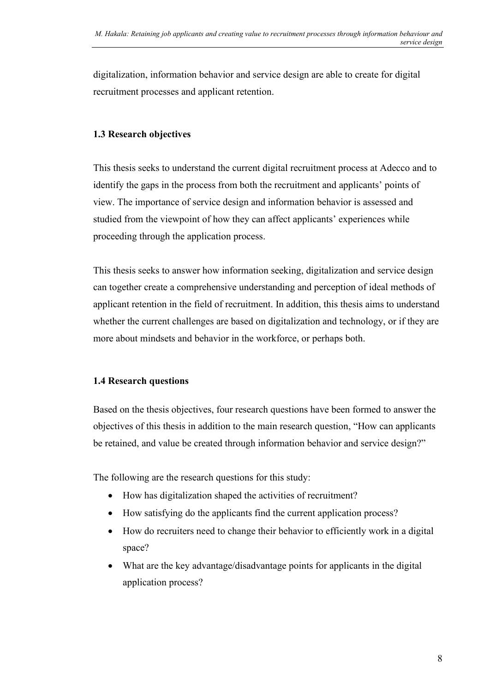digitalization, information behavior and service design are able to create for digital recruitment processes and applicant retention.

### <span id="page-8-0"></span>**1.3 Research objectives**

This thesis seeks to understand the current digital recruitment process at Adecco and to identify the gaps in the process from both the recruitment and applicants' points of view. The importance of service design and information behavior is assessed and studied from the viewpoint of how they can affect applicants' experiences while proceeding through the application process.

This thesis seeks to answer how information seeking, digitalization and service design can together create a comprehensive understanding and perception of ideal methods of applicant retention in the field of recruitment. In addition, this thesis aims to understand whether the current challenges are based on digitalization and technology, or if they are more about mindsets and behavior in the workforce, or perhaps both.

#### <span id="page-8-1"></span>**1.4 Research questions**

Based on the thesis objectives, four research questions have been formed to answer the objectives of this thesis in addition to the main research question, "How can applicants be retained, and value be created through information behavior and service design?"

The following are the research questions for this study:

- How has digitalization shaped the activities of recruitment?
- How satisfying do the applicants find the current application process?
- How do recruiters need to change their behavior to efficiently work in a digital space?
- What are the key advantage/disadvantage points for applicants in the digital application process?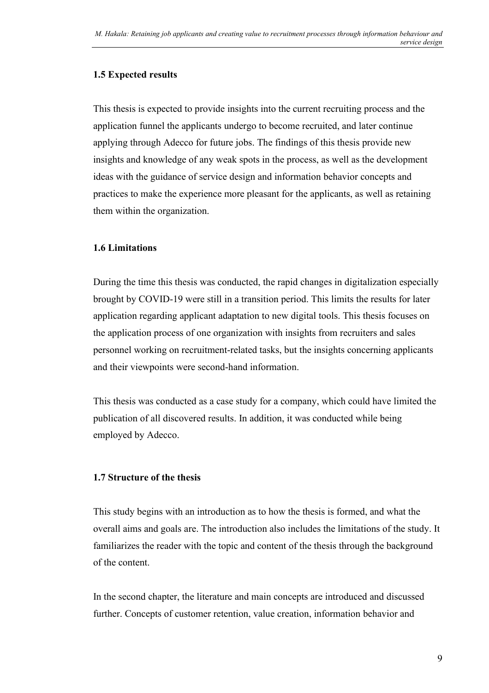#### <span id="page-9-0"></span>**1.5 Expected results**

This thesis is expected to provide insights into the current recruiting process and the application funnel the applicants undergo to become recruited, and later continue applying through Adecco for future jobs. The findings of this thesis provide new insights and knowledge of any weak spots in the process, as well as the development ideas with the guidance of service design and information behavior concepts and practices to make the experience more pleasant for the applicants, as well as retaining them within the organization.

#### <span id="page-9-1"></span>**1.6 Limitations**

During the time this thesis was conducted, the rapid changes in digitalization especially brought by COVID-19 were still in a transition period. This limits the results for later application regarding applicant adaptation to new digital tools. This thesis focuses on the application process of one organization with insights from recruiters and sales personnel working on recruitment-related tasks, but the insights concerning applicants and their viewpoints were second-hand information.

This thesis was conducted as a case study for a company, which could have limited the publication of all discovered results. In addition, it was conducted while being employed by Adecco.

### <span id="page-9-2"></span>**1.7 Structure of the thesis**

This study begins with an introduction as to how the thesis is formed, and what the overall aims and goals are. The introduction also includes the limitations of the study. It familiarizes the reader with the topic and content of the thesis through the background of the content.

In the second chapter, the literature and main concepts are introduced and discussed further. Concepts of customer retention, value creation, information behavior and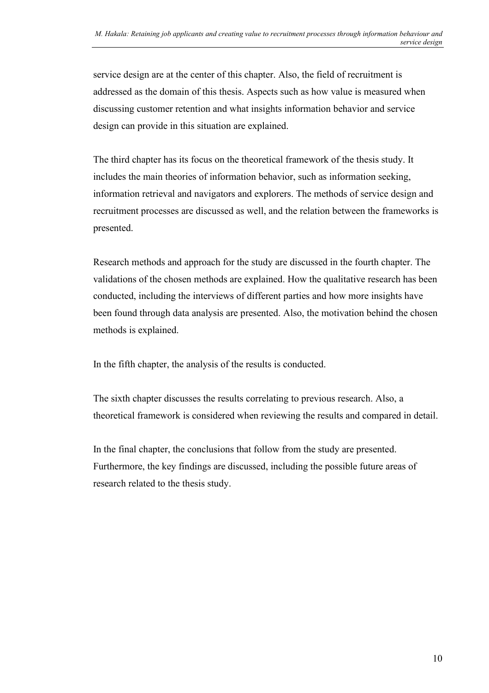service design are at the center of this chapter. Also, the field of recruitment is addressed as the domain of this thesis. Aspects such as how value is measured when discussing customer retention and what insights information behavior and service design can provide in this situation are explained.

The third chapter has its focus on the theoretical framework of the thesis study. It includes the main theories of information behavior, such as information seeking, information retrieval and navigators and explorers. The methods of service design and recruitment processes are discussed as well, and the relation between the frameworks is presented.

Research methods and approach for the study are discussed in the fourth chapter. The validations of the chosen methods are explained. How the qualitative research has been conducted, including the interviews of different parties and how more insights have been found through data analysis are presented. Also, the motivation behind the chosen methods is explained.

In the fifth chapter, the analysis of the results is conducted.

The sixth chapter discusses the results correlating to previous research. Also, a theoretical framework is considered when reviewing the results and compared in detail.

In the final chapter, the conclusions that follow from the study are presented. Furthermore, the key findings are discussed, including the possible future areas of research related to the thesis study.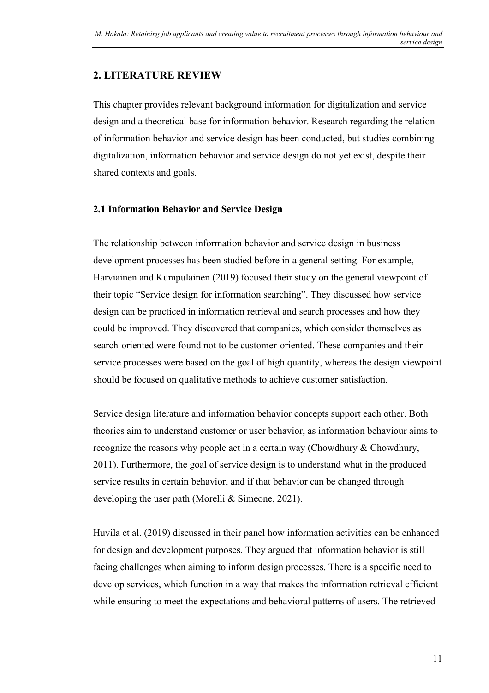# <span id="page-11-0"></span>**2. LITERATURE REVIEW**

This chapter provides relevant background information for digitalization and service design and a theoretical base for information behavior. Research regarding the relation of information behavior and service design has been conducted, but studies combining digitalization, information behavior and service design do not yet exist, despite their shared contexts and goals.

#### <span id="page-11-1"></span>**2.1 Information Behavior and Service Design**

The relationship between information behavior and service design in business development processes has been studied before in a general setting. For example, Harviainen and Kumpulainen (2019) focused their study on the general viewpoint of their topic "Service design for information searching". They discussed how service design can be practiced in information retrieval and search processes and how they could be improved. They discovered that companies, which consider themselves as search-oriented were found not to be customer-oriented. These companies and their service processes were based on the goal of high quantity, whereas the design viewpoint should be focused on qualitative methods to achieve customer satisfaction.

Service design literature and information behavior concepts support each other. Both theories aim to understand customer or user behavior, as information behaviour aims to recognize the reasons why people act in a certain way (Chowdhury & Chowdhury, 2011). Furthermore, the goal of service design is to understand what in the produced service results in certain behavior, and if that behavior can be changed through developing the user path (Morelli & Simeone, 2021).

Huvila et al. (2019) discussed in their panel how information activities can be enhanced for design and development purposes. They argued that information behavior is still facing challenges when aiming to inform design processes. There is a specific need to develop services, which function in a way that makes the information retrieval efficient while ensuring to meet the expectations and behavioral patterns of users. The retrieved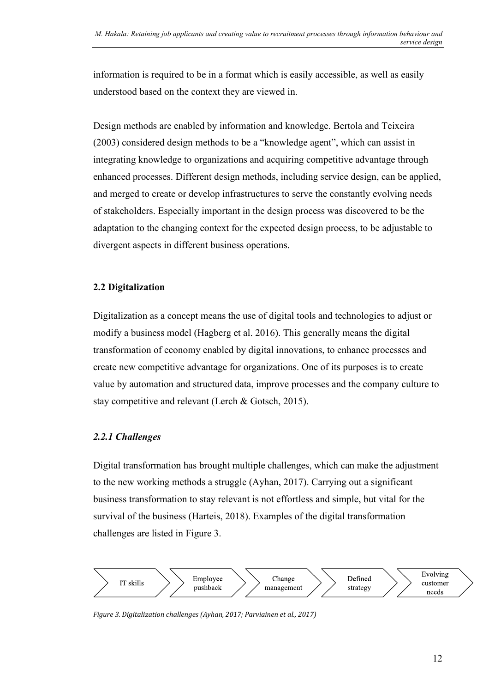information is required to be in a format which is easily accessible, as well as easily understood based on the context they are viewed in.

Design methods are enabled by information and knowledge. Bertola and Teixeira (2003) considered design methods to be a "knowledge agent", which can assist in integrating knowledge to organizations and acquiring competitive advantage through enhanced processes. Different design methods, including service design, can be applied, and merged to create or develop infrastructures to serve the constantly evolving needs of stakeholders. Especially important in the design process was discovered to be the adaptation to the changing context for the expected design process, to be adjustable to divergent aspects in different business operations.

#### <span id="page-12-0"></span>**2.2 Digitalization**

Digitalization as a concept means the use of digital tools and technologies to adjust or modify a business model (Hagberg et al. 2016). This generally means the digital transformation of economy enabled by digital innovations, to enhance processes and create new competitive advantage for organizations. One of its purposes is to create value by automation and structured data, improve processes and the company culture to stay competitive and relevant (Lerch & Gotsch, 2015).

### <span id="page-12-1"></span>*2.2.1 Challenges*

Digital transformation has brought multiple challenges, which can make the adjustment to the new working methods a struggle (Ayhan, 2017). Carrying out a significant business transformation to stay relevant is not effortless and simple, but vital for the survival of the business (Harteis, 2018). Examples of the digital transformation challenges are listed in Figure 3.



<span id="page-12-2"></span>*Figure 3. Digitalization challenges (Ayhan, 2017; Parviainen et al., 2017)*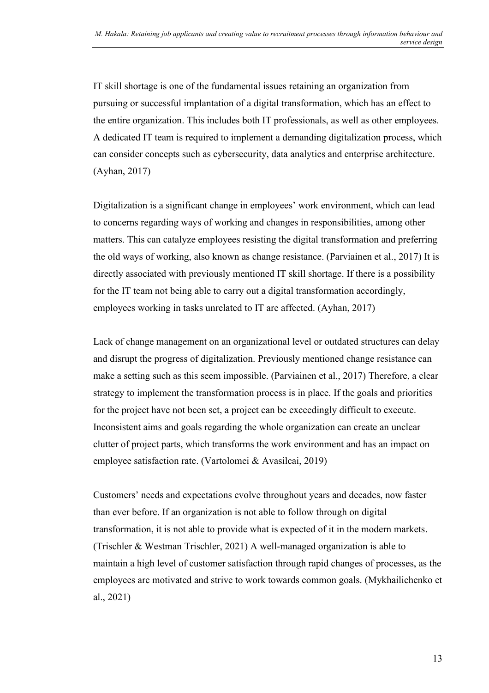IT skill shortage is one of the fundamental issues retaining an organization from pursuing or successful implantation of a digital transformation, which has an effect to the entire organization. This includes both IT professionals, as well as other employees. A dedicated IT team is required to implement a demanding digitalization process, which can consider concepts such as cybersecurity, data analytics and enterprise architecture. (Ayhan, 2017)

Digitalization is a significant change in employees' work environment, which can lead to concerns regarding ways of working and changes in responsibilities, among other matters. This can catalyze employees resisting the digital transformation and preferring the old ways of working, also known as change resistance. (Parviainen et al., 2017) It is directly associated with previously mentioned IT skill shortage. If there is a possibility for the IT team not being able to carry out a digital transformation accordingly, employees working in tasks unrelated to IT are affected. (Ayhan, 2017)

Lack of change management on an organizational level or outdated structures can delay and disrupt the progress of digitalization. Previously mentioned change resistance can make a setting such as this seem impossible. (Parviainen et al., 2017) Therefore, a clear strategy to implement the transformation process is in place. If the goals and priorities for the project have not been set, a project can be exceedingly difficult to execute. Inconsistent aims and goals regarding the whole organization can create an unclear clutter of project parts, which transforms the work environment and has an impact on employee satisfaction rate. (Vartolomei & Avasilcai, 2019)

Customers' needs and expectations evolve throughout years and decades, now faster than ever before. If an organization is not able to follow through on digital transformation, it is not able to provide what is expected of it in the modern markets. (Trischler & Westman Trischler, 2021) A well-managed organization is able to maintain a high level of customer satisfaction through rapid changes of processes, as the employees are motivated and strive to work towards common goals. (Mykhailichenko et al., 2021)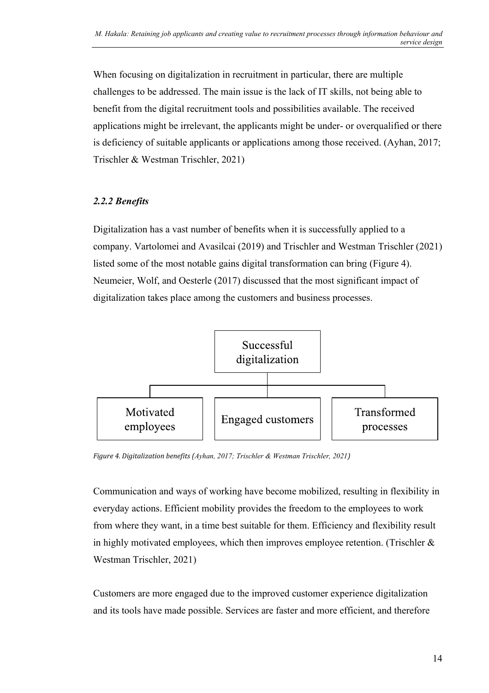When focusing on digitalization in recruitment in particular, there are multiple challenges to be addressed. The main issue is the lack of IT skills, not being able to benefit from the digital recruitment tools and possibilities available. The received applications might be irrelevant, the applicants might be under- or overqualified or there is deficiency of suitable applicants or applications among those received. (Ayhan, 2017; Trischler & Westman Trischler, 2021)

### <span id="page-14-0"></span>*2.2.2 Benefits*

Digitalization has a vast number of benefits when it is successfully applied to a company. Vartolomei and Avasilcai (2019) and Trischler and Westman Trischler (2021) listed some of the most notable gains digital transformation can bring (Figure 4). Neumeier, Wolf, and Oesterle (2017) discussed that the most significant impact of digitalization takes place among the customers and business processes.



<span id="page-14-1"></span>*Figure 4. Digitalization benefits (Ayhan, 2017; Trischler & Westman Trischler, 2021)*

Communication and ways of working have become mobilized, resulting in flexibility in everyday actions. Efficient mobility provides the freedom to the employees to work from where they want, in a time best suitable for them. Efficiency and flexibility result in highly motivated employees, which then improves employee retention. (Trischler & Westman Trischler, 2021)

Customers are more engaged due to the improved customer experience digitalization and its tools have made possible. Services are faster and more efficient, and therefore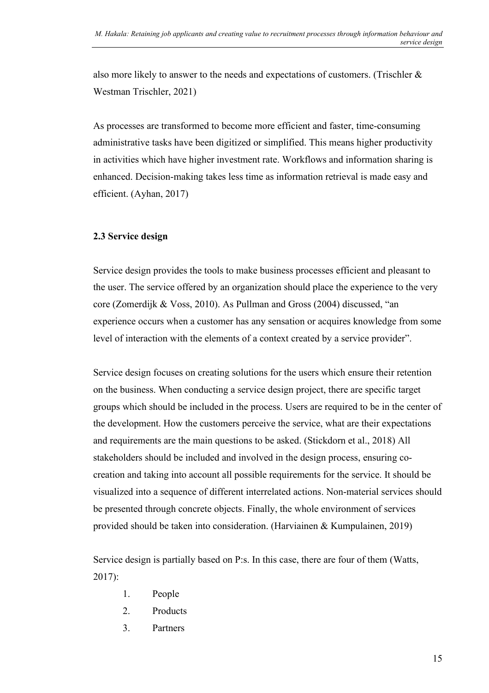also more likely to answer to the needs and expectations of customers. (Trischler & Westman Trischler, 2021)

As processes are transformed to become more efficient and faster, time-consuming administrative tasks have been digitized or simplified. This means higher productivity in activities which have higher investment rate. Workflows and information sharing is enhanced. Decision-making takes less time as information retrieval is made easy and efficient. (Ayhan, 2017)

#### <span id="page-15-0"></span>**2.3 Service design**

Service design provides the tools to make business processes efficient and pleasant to the user. The service offered by an organization should place the experience to the very core (Zomerdijk & Voss, 2010). As Pullman and Gross (2004) discussed, "an experience occurs when a customer has any sensation or acquires knowledge from some level of interaction with the elements of a context created by a service provider".

Service design focuses on creating solutions for the users which ensure their retention on the business. When conducting a service design project, there are specific target groups which should be included in the process. Users are required to be in the center of the development. How the customers perceive the service, what are their expectations and requirements are the main questions to be asked. (Stickdorn et al., 2018) All stakeholders should be included and involved in the design process, ensuring cocreation and taking into account all possible requirements for the service. It should be visualized into a sequence of different interrelated actions. Non-material services should be presented through concrete objects. Finally, the whole environment of services provided should be taken into consideration. (Harviainen & Kumpulainen, 2019)

Service design is partially based on P:s. In this case, there are four of them (Watts, 2017):

- 1. People
- 2. Products
- 3. Partners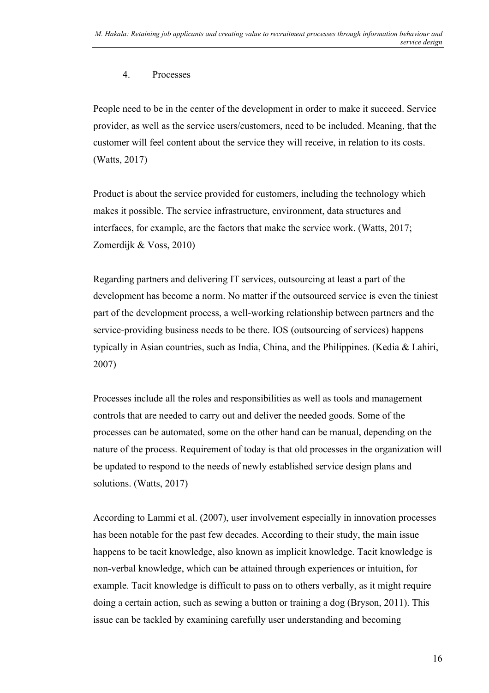#### 4. Processes

People need to be in the center of the development in order to make it succeed. Service provider, as well as the service users/customers, need to be included. Meaning, that the customer will feel content about the service they will receive, in relation to its costs. (Watts, 2017)

Product is about the service provided for customers, including the technology which makes it possible. The service infrastructure, environment, data structures and interfaces, for example, are the factors that make the service work. (Watts, 2017; Zomerdijk & Voss, 2010)

Regarding partners and delivering IT services, outsourcing at least a part of the development has become a norm. No matter if the outsourced service is even the tiniest part of the development process, a well-working relationship between partners and the service-providing business needs to be there. IOS (outsourcing of services) happens typically in Asian countries, such as India, China, and the Philippines. (Kedia & Lahiri, 2007)

Processes include all the roles and responsibilities as well as tools and management controls that are needed to carry out and deliver the needed goods. Some of the processes can be automated, some on the other hand can be manual, depending on the nature of the process. Requirement of today is that old processes in the organization will be updated to respond to the needs of newly established service design plans and solutions. (Watts, 2017)

According to Lammi et al. (2007), user involvement especially in innovation processes has been notable for the past few decades. According to their study, the main issue happens to be tacit knowledge, also known as implicit knowledge. Tacit knowledge is non-verbal knowledge, which can be attained through experiences or intuition, for example. Tacit knowledge is difficult to pass on to others verbally, as it might require doing a certain action, such as sewing a button or training a dog (Bryson, 2011). This issue can be tackled by examining carefully user understanding and becoming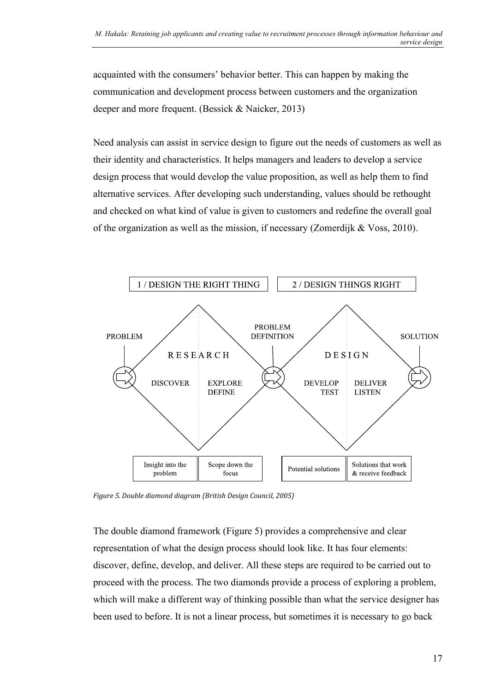acquainted with the consumers' behavior better. This can happen by making the communication and development process between customers and the organization deeper and more frequent. (Bessick & Naicker, 2013)

Need analysis can assist in service design to figure out the needs of customers as well as their identity and characteristics. It helps managers and leaders to develop a service design process that would develop the value proposition, as well as help them to find alternative services. After developing such understanding, values should be rethought and checked on what kind of value is given to customers and redefine the overall goal of the organization as well as the mission, if necessary (Zomerdijk & Voss, 2010).



<span id="page-17-0"></span>*Figure 5. Double diamond diagram (British Design Council, 2005)*

The double diamond framework (Figure 5) provides a comprehensive and clear representation of what the design process should look like. It has four elements: discover, define, develop, and deliver. All these steps are required to be carried out to proceed with the process. The two diamonds provide a process of exploring a problem, which will make a different way of thinking possible than what the service designer has been used to before. It is not a linear process, but sometimes it is necessary to go back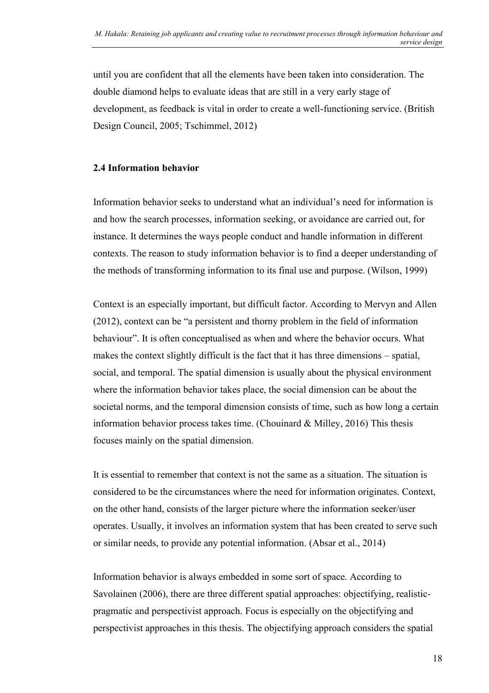until you are confident that all the elements have been taken into consideration. The double diamond helps to evaluate ideas that are still in a very early stage of development, as feedback is vital in order to create a well-functioning service. (British Design Council, 2005; Tschimmel, 2012)

#### <span id="page-18-0"></span>**2.4 Information behavior**

Information behavior seeks to understand what an individual's need for information is and how the search processes, information seeking, or avoidance are carried out, for instance. It determines the ways people conduct and handle information in different contexts. The reason to study information behavior is to find a deeper understanding of the methods of transforming information to its final use and purpose. (Wilson, 1999)

Context is an especially important, but difficult factor. According to Mervyn and Allen (2012), context can be "a persistent and thorny problem in the field of information behaviour". It is often conceptualised as when and where the behavior occurs. What makes the context slightly difficult is the fact that it has three dimensions – spatial, social, and temporal. The spatial dimension is usually about the physical environment where the information behavior takes place, the social dimension can be about the societal norms, and the temporal dimension consists of time, such as how long a certain information behavior process takes time. (Chouinard & Milley, 2016) This thesis focuses mainly on the spatial dimension.

It is essential to remember that context is not the same as a situation. The situation is considered to be the circumstances where the need for information originates. Context, on the other hand, consists of the larger picture where the information seeker/user operates. Usually, it involves an information system that has been created to serve such or similar needs, to provide any potential information. (Absar et al., 2014)

Information behavior is always embedded in some sort of space. According to Savolainen (2006), there are three different spatial approaches: objectifying, realisticpragmatic and perspectivist approach. Focus is especially on the objectifying and perspectivist approaches in this thesis. The objectifying approach considers the spatial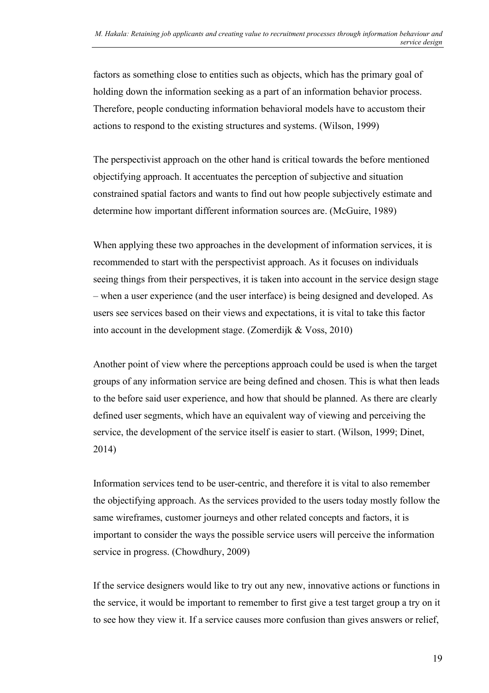factors as something close to entities such as objects, which has the primary goal of holding down the information seeking as a part of an information behavior process. Therefore, people conducting information behavioral models have to accustom their actions to respond to the existing structures and systems. (Wilson, 1999)

The perspectivist approach on the other hand is critical towards the before mentioned objectifying approach. It accentuates the perception of subjective and situation constrained spatial factors and wants to find out how people subjectively estimate and determine how important different information sources are. (McGuire, 1989)

When applying these two approaches in the development of information services, it is recommended to start with the perspectivist approach. As it focuses on individuals seeing things from their perspectives, it is taken into account in the service design stage – when a user experience (and the user interface) is being designed and developed. As users see services based on their views and expectations, it is vital to take this factor into account in the development stage. (Zomerdijk & Voss, 2010)

Another point of view where the perceptions approach could be used is when the target groups of any information service are being defined and chosen. This is what then leads to the before said user experience, and how that should be planned. As there are clearly defined user segments, which have an equivalent way of viewing and perceiving the service, the development of the service itself is easier to start. (Wilson, 1999; Dinet, 2014)

Information services tend to be user-centric, and therefore it is vital to also remember the objectifying approach. As the services provided to the users today mostly follow the same wireframes, customer journeys and other related concepts and factors, it is important to consider the ways the possible service users will perceive the information service in progress. (Chowdhury, 2009)

If the service designers would like to try out any new, innovative actions or functions in the service, it would be important to remember to first give a test target group a try on it to see how they view it. If a service causes more confusion than gives answers or relief,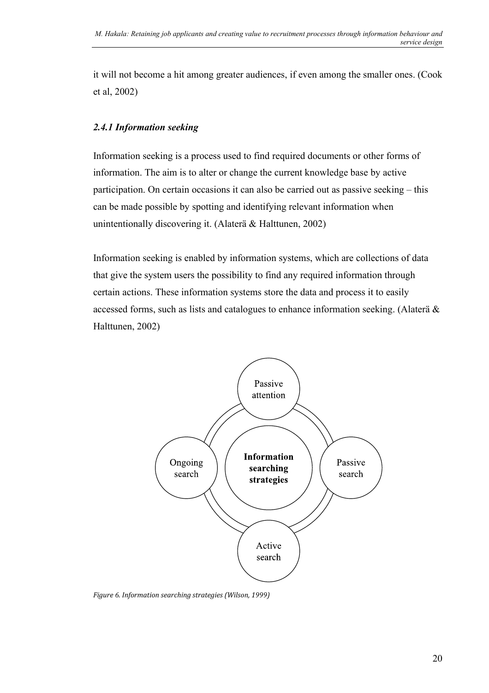it will not become a hit among greater audiences, if even among the smaller ones. (Cook et al, 2002)

#### <span id="page-20-0"></span>*2.4.1 Information seeking*

Information seeking is a process used to find required documents or other forms of information. The aim is to alter or change the current knowledge base by active participation. On certain occasions it can also be carried out as passive seeking – this can be made possible by spotting and identifying relevant information when unintentionally discovering it. (Alaterä & Halttunen, 2002)

Information seeking is enabled by information systems, which are collections of data that give the system users the possibility to find any required information through certain actions. These information systems store the data and process it to easily accessed forms, such as lists and catalogues to enhance information seeking. (Alaterä & Halttunen, 2002)



<span id="page-20-1"></span>*Figure 6. Information searching strategies (Wilson, 1999)*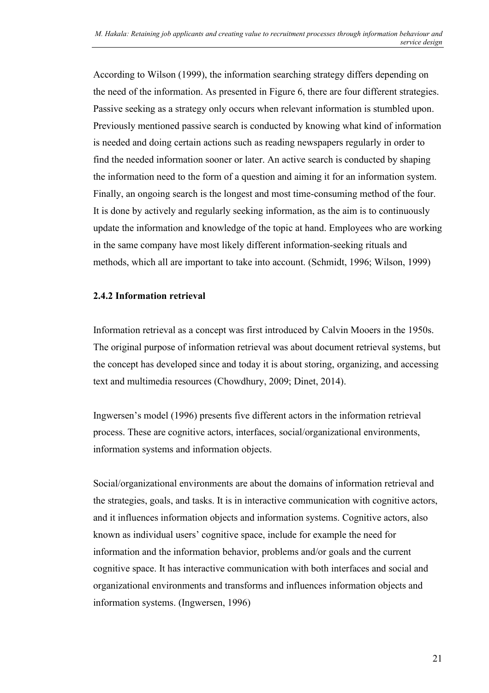According to Wilson (1999), the information searching strategy differs depending on the need of the information. As presented in Figure 6, there are four different strategies. Passive seeking as a strategy only occurs when relevant information is stumbled upon. Previously mentioned passive search is conducted by knowing what kind of information is needed and doing certain actions such as reading newspapers regularly in order to find the needed information sooner or later. An active search is conducted by shaping the information need to the form of a question and aiming it for an information system. Finally, an ongoing search is the longest and most time-consuming method of the four. It is done by actively and regularly seeking information, as the aim is to continuously update the information and knowledge of the topic at hand. Employees who are working in the same company have most likely different information-seeking rituals and methods, which all are important to take into account. (Schmidt, 1996; Wilson, 1999)

#### **2.4.2 Information retrieval**

Information retrieval as a concept was first introduced by Calvin Mooers in the 1950s. The original purpose of information retrieval was about document retrieval systems, but the concept has developed since and today it is about storing, organizing, and accessing text and multimedia resources (Chowdhury, 2009; Dinet, 2014).

Ingwersen's model (1996) presents five different actors in the information retrieval process. These are cognitive actors, interfaces, social/organizational environments, information systems and information objects.

Social/organizational environments are about the domains of information retrieval and the strategies, goals, and tasks. It is in interactive communication with cognitive actors, and it influences information objects and information systems. Cognitive actors, also known as individual users' cognitive space, include for example the need for information and the information behavior, problems and/or goals and the current cognitive space. It has interactive communication with both interfaces and social and organizational environments and transforms and influences information objects and information systems. (Ingwersen, 1996)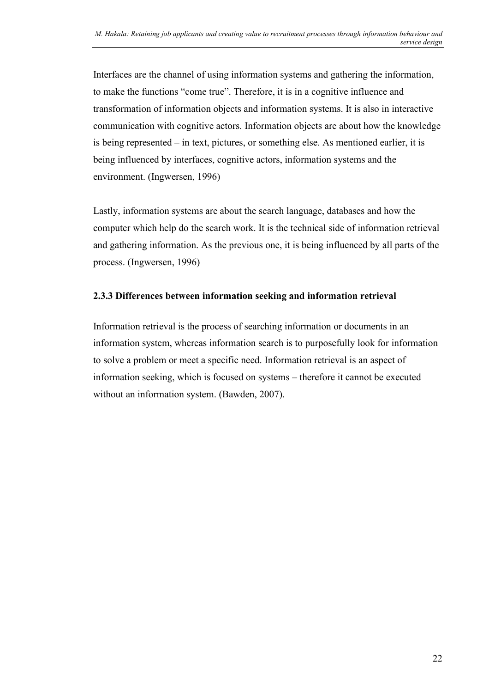Interfaces are the channel of using information systems and gathering the information, to make the functions "come true". Therefore, it is in a cognitive influence and transformation of information objects and information systems. It is also in interactive communication with cognitive actors. Information objects are about how the knowledge is being represented – in text, pictures, or something else. As mentioned earlier, it is being influenced by interfaces, cognitive actors, information systems and the environment. (Ingwersen, 1996)

Lastly, information systems are about the search language, databases and how the computer which help do the search work. It is the technical side of information retrieval and gathering information. As the previous one, it is being influenced by all parts of the process. (Ingwersen, 1996)

#### **2.3.3 Differences between information seeking and information retrieval**

Information retrieval is the process of searching information or documents in an information system, whereas information search is to purposefully look for information to solve a problem or meet a specific need. Information retrieval is an aspect of information seeking, which is focused on systems – therefore it cannot be executed without an information system. (Bawden, 2007).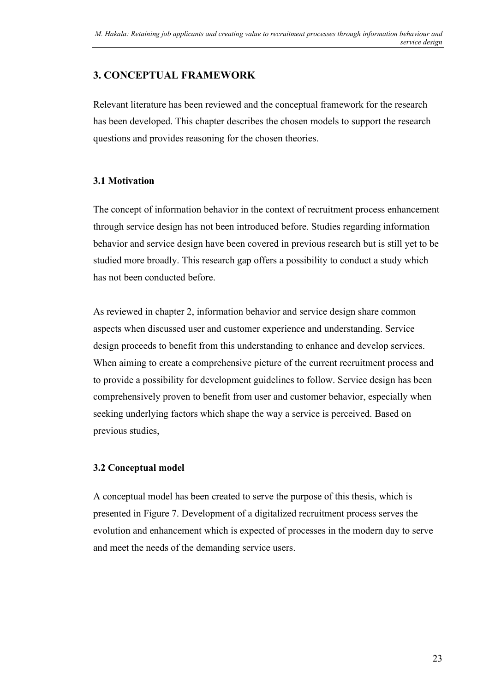# <span id="page-23-0"></span>**3. CONCEPTUAL FRAMEWORK**

Relevant literature has been reviewed and the conceptual framework for the research has been developed. This chapter describes the chosen models to support the research questions and provides reasoning for the chosen theories.

#### <span id="page-23-1"></span>**3.1 Motivation**

The concept of information behavior in the context of recruitment process enhancement through service design has not been introduced before. Studies regarding information behavior and service design have been covered in previous research but is still yet to be studied more broadly. This research gap offers a possibility to conduct a study which has not been conducted before.

As reviewed in chapter 2, information behavior and service design share common aspects when discussed user and customer experience and understanding. Service design proceeds to benefit from this understanding to enhance and develop services. When aiming to create a comprehensive picture of the current recruitment process and to provide a possibility for development guidelines to follow. Service design has been comprehensively proven to benefit from user and customer behavior, especially when seeking underlying factors which shape the way a service is perceived. Based on previous studies,

### <span id="page-23-2"></span>**3.2 Conceptual model**

A conceptual model has been created to serve the purpose of this thesis, which is presented in Figure 7. Development of a digitalized recruitment process serves the evolution and enhancement which is expected of processes in the modern day to serve and meet the needs of the demanding service users.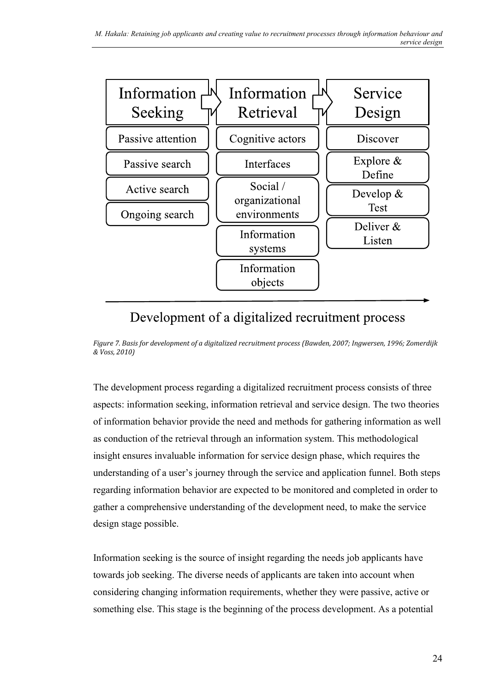

# Development of a digitalized recruitment process

<span id="page-24-0"></span>*Figure 7. Basis for development of a digitalized recruitment process (Bawden, 2007; Ingwersen, 1996; Zomerdijk & Voss, 2010)*

The development process regarding a digitalized recruitment process consists of three aspects: information seeking, information retrieval and service design. The two theories of information behavior provide the need and methods for gathering information as well as conduction of the retrieval through an information system. This methodological insight ensures invaluable information for service design phase, which requires the understanding of a user's journey through the service and application funnel. Both steps regarding information behavior are expected to be monitored and completed in order to gather a comprehensive understanding of the development need, to make the service design stage possible.

Information seeking is the source of insight regarding the needs job applicants have towards job seeking. The diverse needs of applicants are taken into account when considering changing information requirements, whether they were passive, active or something else. This stage is the beginning of the process development. As a potential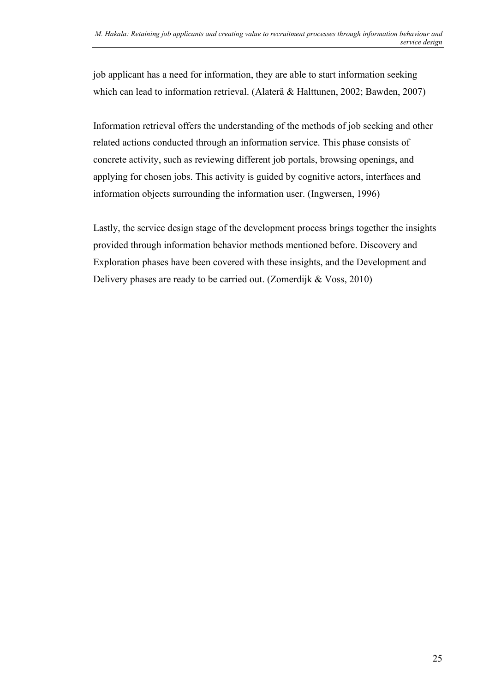job applicant has a need for information, they are able to start information seeking which can lead to information retrieval. (Alaterä & Halttunen, 2002; Bawden, 2007)

Information retrieval offers the understanding of the methods of job seeking and other related actions conducted through an information service. This phase consists of concrete activity, such as reviewing different job portals, browsing openings, and applying for chosen jobs. This activity is guided by cognitive actors, interfaces and information objects surrounding the information user. (Ingwersen, 1996)

Lastly, the service design stage of the development process brings together the insights provided through information behavior methods mentioned before. Discovery and Exploration phases have been covered with these insights, and the Development and Delivery phases are ready to be carried out. (Zomerdijk & Voss, 2010)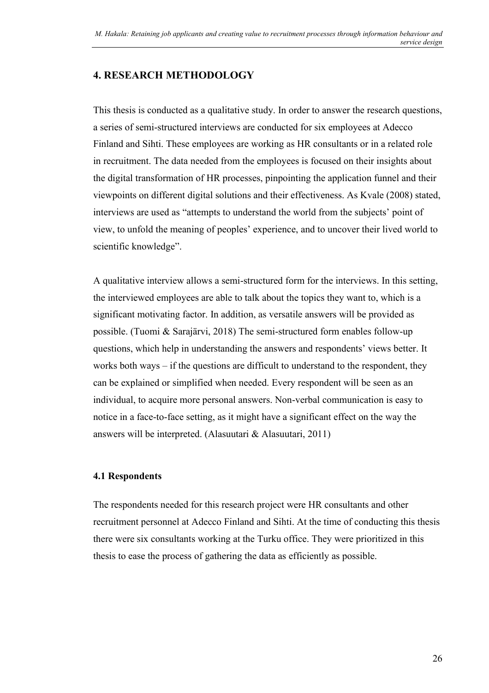## <span id="page-26-0"></span>**4. RESEARCH METHODOLOGY**

This thesis is conducted as a qualitative study. In order to answer the research questions, a series of semi-structured interviews are conducted for six employees at Adecco Finland and Sihti. These employees are working as HR consultants or in a related role in recruitment. The data needed from the employees is focused on their insights about the digital transformation of HR processes, pinpointing the application funnel and their viewpoints on different digital solutions and their effectiveness. As Kvale (2008) stated, interviews are used as "attempts to understand the world from the subjects' point of view, to unfold the meaning of peoples' experience, and to uncover their lived world to scientific knowledge".

A qualitative interview allows a semi-structured form for the interviews. In this setting, the interviewed employees are able to talk about the topics they want to, which is a significant motivating factor. In addition, as versatile answers will be provided as possible. (Tuomi & Sarajärvi, 2018) The semi-structured form enables follow-up questions, which help in understanding the answers and respondents' views better. It works both ways – if the questions are difficult to understand to the respondent, they can be explained or simplified when needed. Every respondent will be seen as an individual, to acquire more personal answers. Non-verbal communication is easy to notice in a face-to-face setting, as it might have a significant effect on the way the answers will be interpreted. (Alasuutari & Alasuutari, 2011)

#### <span id="page-26-1"></span>**4.1 Respondents**

The respondents needed for this research project were HR consultants and other recruitment personnel at Adecco Finland and Sihti. At the time of conducting this thesis there were six consultants working at the Turku office. They were prioritized in this thesis to ease the process of gathering the data as efficiently as possible.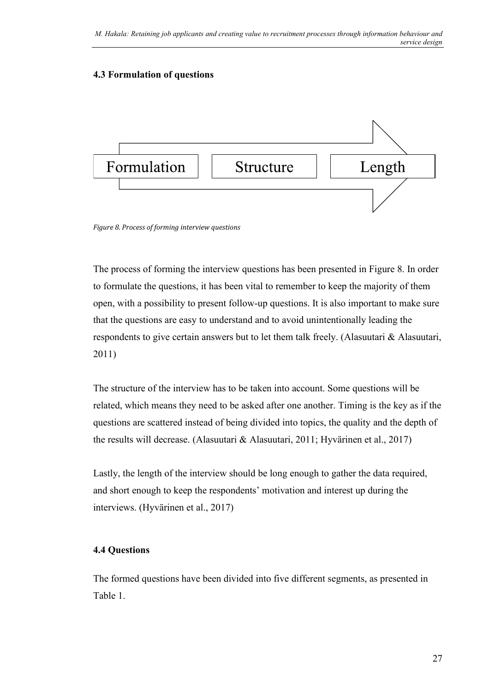#### <span id="page-27-0"></span>**4.3 Formulation of questions**



<span id="page-27-2"></span>*Figure 8. Process of forming interview questions*

The process of forming the interview questions has been presented in Figure 8. In order to formulate the questions, it has been vital to remember to keep the majority of them open, with a possibility to present follow-up questions. It is also important to make sure that the questions are easy to understand and to avoid unintentionally leading the respondents to give certain answers but to let them talk freely. (Alasuutari & Alasuutari, 2011)

The structure of the interview has to be taken into account. Some questions will be related, which means they need to be asked after one another. Timing is the key as if the questions are scattered instead of being divided into topics, the quality and the depth of the results will decrease. (Alasuutari & Alasuutari, 2011; Hyvärinen et al., 2017)

Lastly, the length of the interview should be long enough to gather the data required, and short enough to keep the respondents' motivation and interest up during the interviews. (Hyvärinen et al., 2017)

#### <span id="page-27-1"></span>**4.4 Questions**

The formed questions have been divided into five different segments, as presented in Table 1.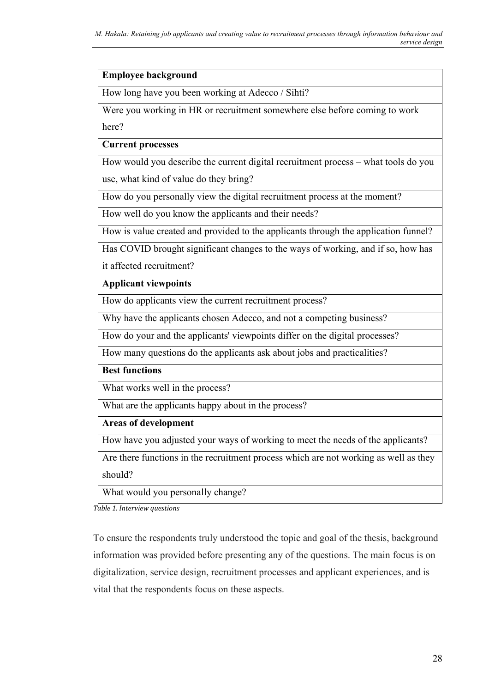#### **Employee background**

How long have you been working at Adecco / Sihti?

Were you working in HR or recruitment somewhere else before coming to work

here?

**Current processes**

How would you describe the current digital recruitment process – what tools do you use, what kind of value do they bring?

How do you personally view the digital recruitment process at the moment?

How well do you know the applicants and their needs?

How is value created and provided to the applicants through the application funnel?

Has COVID brought significant changes to the ways of working, and if so, how has it affected recruitment?

**Applicant viewpoints**

How do applicants view the current recruitment process?

Why have the applicants chosen Adecco, and not a competing business?

How do your and the applicants' viewpoints differ on the digital processes?

How many questions do the applicants ask about jobs and practicalities?

**Best functions**

What works well in the process?

What are the applicants happy about in the process?

**Areas of development**

How have you adjusted your ways of working to meet the needs of the applicants?

Are there functions in the recruitment process which are not working as well as they should?

What would you personally change?

<span id="page-28-0"></span>*Table 1. Interview questions*

To ensure the respondents truly understood the topic and goal of the thesis, background information was provided before presenting any of the questions. The main focus is on digitalization, service design, recruitment processes and applicant experiences, and is vital that the respondents focus on these aspects.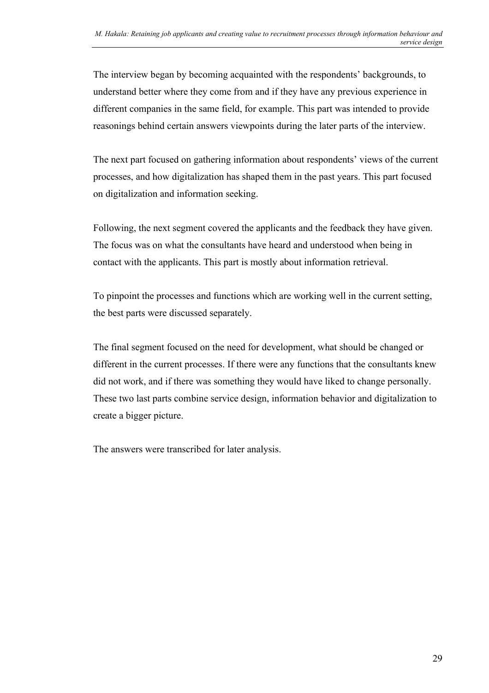The interview began by becoming acquainted with the respondents' backgrounds, to understand better where they come from and if they have any previous experience in different companies in the same field, for example. This part was intended to provide reasonings behind certain answers viewpoints during the later parts of the interview.

The next part focused on gathering information about respondents' views of the current processes, and how digitalization has shaped them in the past years. This part focused on digitalization and information seeking.

Following, the next segment covered the applicants and the feedback they have given. The focus was on what the consultants have heard and understood when being in contact with the applicants. This part is mostly about information retrieval.

To pinpoint the processes and functions which are working well in the current setting, the best parts were discussed separately.

The final segment focused on the need for development, what should be changed or different in the current processes. If there were any functions that the consultants knew did not work, and if there was something they would have liked to change personally. These two last parts combine service design, information behavior and digitalization to create a bigger picture.

The answers were transcribed for later analysis.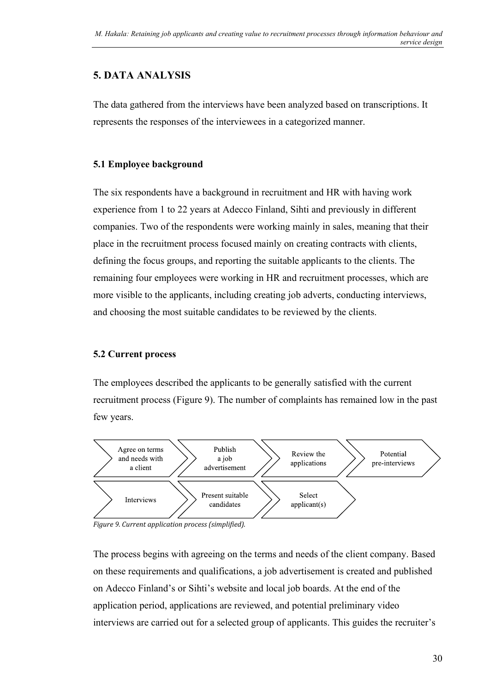# <span id="page-30-0"></span>**5. DATA ANALYSIS**

The data gathered from the interviews have been analyzed based on transcriptions. It represents the responses of the interviewees in a categorized manner.

#### <span id="page-30-1"></span>**5.1 Employee background**

The six respondents have a background in recruitment and HR with having work experience from 1 to 22 years at Adecco Finland, Sihti and previously in different companies. Two of the respondents were working mainly in sales, meaning that their place in the recruitment process focused mainly on creating contracts with clients, defining the focus groups, and reporting the suitable applicants to the clients. The remaining four employees were working in HR and recruitment processes, which are more visible to the applicants, including creating job adverts, conducting interviews, and choosing the most suitable candidates to be reviewed by the clients.

### <span id="page-30-2"></span>**5.2 Current process**

The employees described the applicants to be generally satisfied with the current recruitment process (Figure 9). The number of complaints has remained low in the past few years.



<span id="page-30-3"></span>*Figure 9. Current application process (simplified).*

The process begins with agreeing on the terms and needs of the client company. Based on these requirements and qualifications, a job advertisement is created and published on Adecco Finland's or Sihti's website and local job boards. At the end of the application period, applications are reviewed, and potential preliminary video interviews are carried out for a selected group of applicants. This guides the recruiter's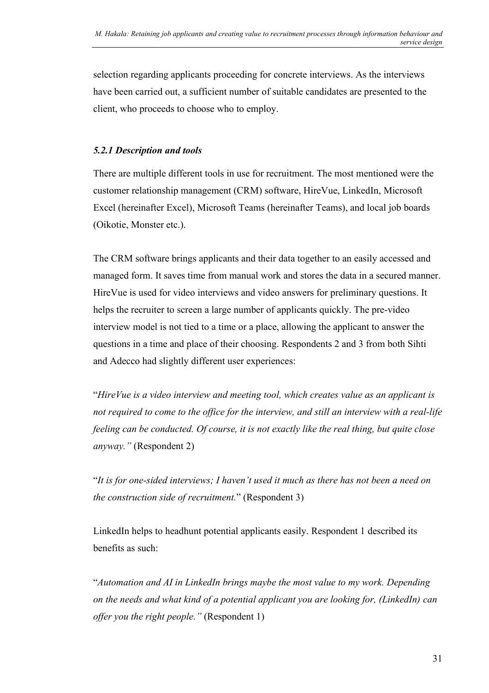selection regarding applicants proceeding for concrete interviews. As the interviews have been carried out, a sufficient number of suitable candidates are presented to the client, who proceeds to choose who to employ.

#### <span id="page-31-0"></span>*5.2.1 Description and tools*

There are multiple different tools in use for recruitment. The most mentioned were the customer relationship management (CRM) software, HireVue, LinkedIn, Microsoft Excel (hereinafter Excel), Microsoft Teams (hereinafter Teams), and local job boards (Oikotie, Monster etc.).

The CRM software brings applicants and their data together to an easily accessed and managed form. It saves time from manual work and stores the data in a secured manner. HireVue is used for video interviews and video answers for preliminary questions. It helps the recruiter to screen a large number of applicants quickly. The pre-video interview model is not tied to a time or a place, allowing the applicant to answer the questions in a time and place of their choosing. Respondents 2 and 3 from both Sihti and Adecco had slightly different user experiences:

"*HireVue is a video interview and meeting tool, which creates value as an applicant is not required to come to the office for the interview, and still an interview with a real-life feeling can be conducted. Of course, it is not exactly like the real thing, but quite close anyway."* (Respondent 2)

"*It is for one-sided interviews; I haven't used it much as there has not been a need on the construction side of recruitment.*" (Respondent 3)

LinkedIn helps to headhunt potential applicants easily. Respondent 1 described its benefits as such:

"*Automation and AI in LinkedIn brings maybe the most value to my work. Depending on the needs and what kind of a potential applicant you are looking for, (LinkedIn) can offer you the right people."* (Respondent 1)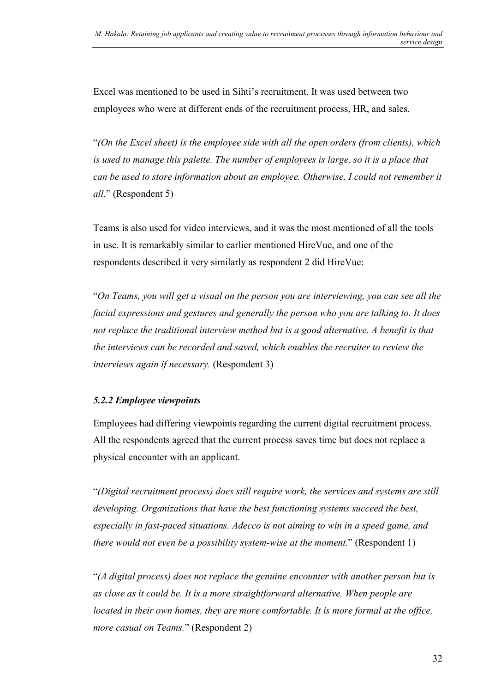Excel was mentioned to be used in Sihti's recruitment. It was used between two employees who were at different ends of the recruitment process, HR, and sales.

"*(On the Excel sheet) is the employee side with all the open orders (from clients), which is used to manage this palette. The number of employees is large, so it is a place that can be used to store information about an employee. Otherwise, I could not remember it all.*" (Respondent 5)

Teams is also used for video interviews, and it was the most mentioned of all the tools in use. It is remarkably similar to earlier mentioned HireVue, and one of the respondents described it very similarly as respondent 2 did HireVue:

"*On Teams, you will get a visual on the person you are interviewing, you can see all the facial expressions and gestures and generally the person who you are talking to. It does not replace the traditional interview method but is a good alternative. A benefit is that the interviews can be recorded and saved, which enables the recruiter to review the interviews again if necessary.* (Respondent 3)

#### <span id="page-32-0"></span>*5.2.2 Employee viewpoints*

Employees had differing viewpoints regarding the current digital recruitment process. All the respondents agreed that the current process saves time but does not replace a physical encounter with an applicant.

"*(Digital recruitment process) does still require work, the services and systems are still developing. Organizations that have the best functioning systems succeed the best, especially in fast-paced situations. Adecco is not aiming to win in a speed game, and there would not even be a possibility system-wise at the moment.*" (Respondent 1)

"*(A digital process) does not replace the genuine encounter with another person but is as close as it could be. It is a more straightforward alternative. When people are located in their own homes, they are more comfortable. It is more formal at the office, more casual on Teams.*" (Respondent 2)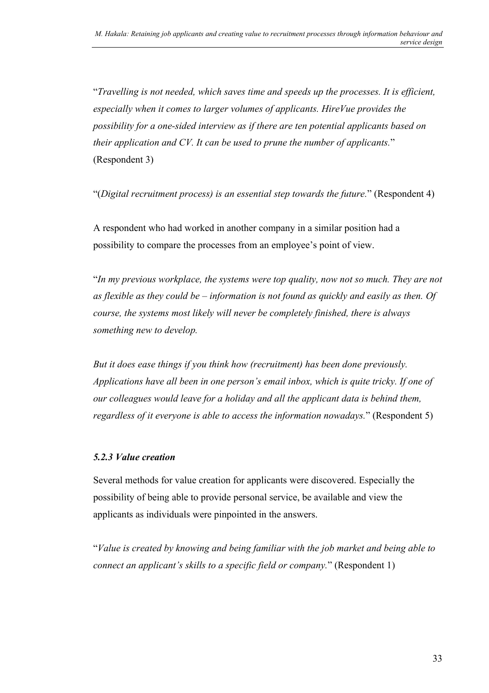"*Travelling is not needed, which saves time and speeds up the processes. It is efficient, especially when it comes to larger volumes of applicants. HireVue provides the possibility for a one-sided interview as if there are ten potential applicants based on their application and CV. It can be used to prune the number of applicants.*" (Respondent 3)

"(*Digital recruitment process) is an essential step towards the future.*" (Respondent 4)

A respondent who had worked in another company in a similar position had a possibility to compare the processes from an employee's point of view.

"*In my previous workplace, the systems were top quality, now not so much. They are not as flexible as they could be – information is not found as quickly and easily as then. Of course, the systems most likely will never be completely finished, there is always something new to develop.*

*But it does ease things if you think how (recruitment) has been done previously. Applications have all been in one person's email inbox, which is quite tricky. If one of our colleagues would leave for a holiday and all the applicant data is behind them, regardless of it everyone is able to access the information nowadays.*" (Respondent 5)

#### <span id="page-33-0"></span>*5.2.3 Value creation*

Several methods for value creation for applicants were discovered. Especially the possibility of being able to provide personal service, be available and view the applicants as individuals were pinpointed in the answers.

"*Value is created by knowing and being familiar with the job market and being able to connect an applicant's skills to a specific field or company.*" (Respondent 1)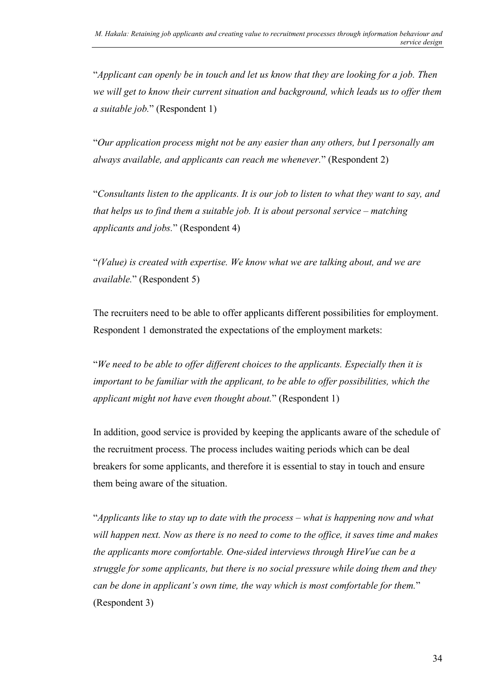"*Applicant can openly be in touch and let us know that they are looking for a job. Then we will get to know their current situation and background, which leads us to offer them a suitable job.*" (Respondent 1)

"*Our application process might not be any easier than any others, but I personally am always available, and applicants can reach me whenever.*" (Respondent 2)

"*Consultants listen to the applicants. It is our job to listen to what they want to say, and that helps us to find them a suitable job. It is about personal service – matching applicants and jobs.*" (Respondent 4)

"*(Value) is created with expertise. We know what we are talking about, and we are available.*" (Respondent 5)

The recruiters need to be able to offer applicants different possibilities for employment. Respondent 1 demonstrated the expectations of the employment markets:

"*We need to be able to offer different choices to the applicants. Especially then it is important to be familiar with the applicant, to be able to offer possibilities, which the applicant might not have even thought about.*" (Respondent 1)

In addition, good service is provided by keeping the applicants aware of the schedule of the recruitment process. The process includes waiting periods which can be deal breakers for some applicants, and therefore it is essential to stay in touch and ensure them being aware of the situation.

"*Applicants like to stay up to date with the process – what is happening now and what will happen next. Now as there is no need to come to the office, it saves time and makes the applicants more comfortable. One-sided interviews through HireVue can be a struggle for some applicants, but there is no social pressure while doing them and they can be done in applicant's own time, the way which is most comfortable for them.*" (Respondent 3)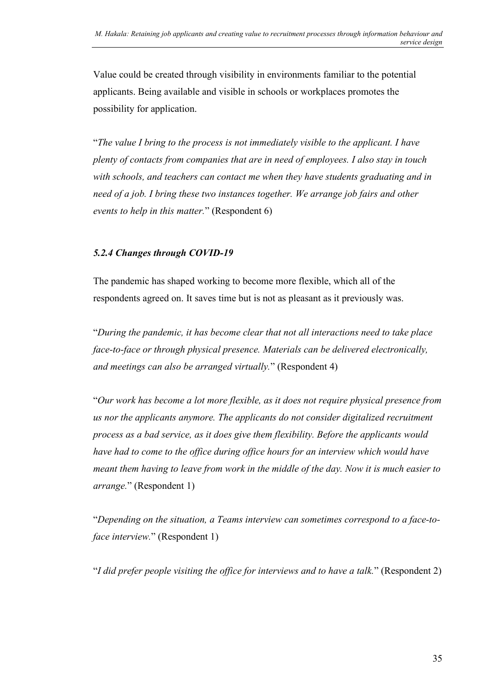Value could be created through visibility in environments familiar to the potential applicants. Being available and visible in schools or workplaces promotes the possibility for application.

"*The value I bring to the process is not immediately visible to the applicant. I have plenty of contacts from companies that are in need of employees. I also stay in touch with schools, and teachers can contact me when they have students graduating and in need of a job. I bring these two instances together. We arrange job fairs and other events to help in this matter.*" (Respondent 6)

#### <span id="page-35-0"></span>*5.2.4 Changes through COVID-19*

The pandemic has shaped working to become more flexible, which all of the respondents agreed on. It saves time but is not as pleasant as it previously was.

"*During the pandemic, it has become clear that not all interactions need to take place face-to-face or through physical presence. Materials can be delivered electronically, and meetings can also be arranged virtually.*" (Respondent 4)

"*Our work has become a lot more flexible, as it does not require physical presence from us nor the applicants anymore. The applicants do not consider digitalized recruitment process as a bad service, as it does give them flexibility. Before the applicants would have had to come to the office during office hours for an interview which would have meant them having to leave from work in the middle of the day. Now it is much easier to arrange.*" (Respondent 1)

"*Depending on the situation, a Teams interview can sometimes correspond to a face-toface interview.*" (Respondent 1)

"*I did prefer people visiting the office for interviews and to have a talk.*" (Respondent 2)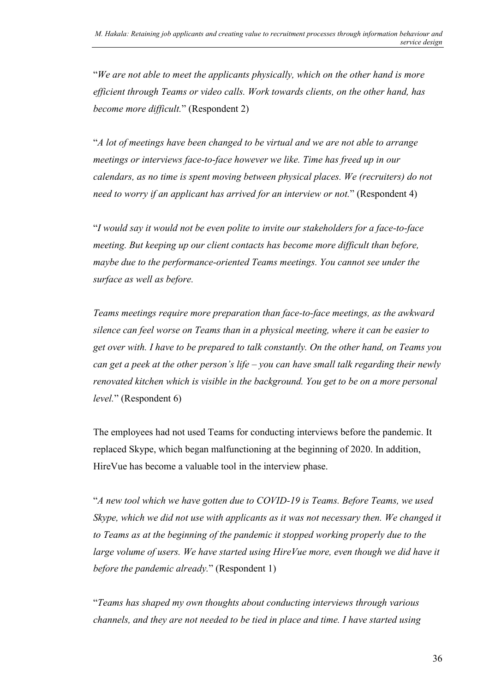"*We are not able to meet the applicants physically, which on the other hand is more efficient through Teams or video calls. Work towards clients, on the other hand, has become more difficult.*" (Respondent 2)

"*A lot of meetings have been changed to be virtual and we are not able to arrange meetings or interviews face-to-face however we like. Time has freed up in our calendars, as no time is spent moving between physical places. We (recruiters) do not need to worry if an applicant has arrived for an interview or not.*" (Respondent 4)

"*I would say it would not be even polite to invite our stakeholders for a face-to-face meeting. But keeping up our client contacts has become more difficult than before, maybe due to the performance-oriented Teams meetings. You cannot see under the surface as well as before.*

*Teams meetings require more preparation than face-to-face meetings, as the awkward silence can feel worse on Teams than in a physical meeting, where it can be easier to get over with. I have to be prepared to talk constantly. On the other hand, on Teams you can get a peek at the other person's life – you can have small talk regarding their newly renovated kitchen which is visible in the background. You get to be on a more personal level.*" (Respondent 6)

The employees had not used Teams for conducting interviews before the pandemic. It replaced Skype, which began malfunctioning at the beginning of 2020. In addition, HireVue has become a valuable tool in the interview phase.

"*A new tool which we have gotten due to COVID-19 is Teams. Before Teams, we used Skype, which we did not use with applicants as it was not necessary then. We changed it to Teams as at the beginning of the pandemic it stopped working properly due to the large volume of users. We have started using HireVue more, even though we did have it before the pandemic already.*" (Respondent 1)

"*Teams has shaped my own thoughts about conducting interviews through various channels, and they are not needed to be tied in place and time. I have started using*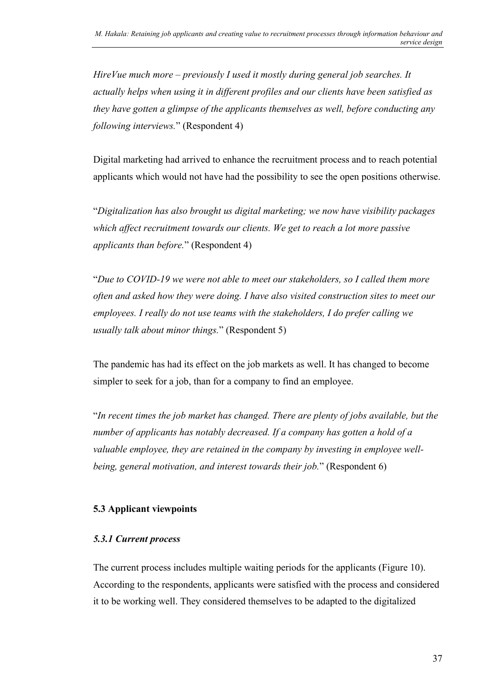*HireVue much more – previously I used it mostly during general job searches. It actually helps when using it in different profiles and our clients have been satisfied as they have gotten a glimpse of the applicants themselves as well, before conducting any following interviews.*" (Respondent 4)

Digital marketing had arrived to enhance the recruitment process and to reach potential applicants which would not have had the possibility to see the open positions otherwise.

"*Digitalization has also brought us digital marketing; we now have visibility packages which affect recruitment towards our clients. We get to reach a lot more passive applicants than before.*" (Respondent 4)

"*Due to COVID-19 we were not able to meet our stakeholders, so I called them more often and asked how they were doing. I have also visited construction sites to meet our employees. I really do not use teams with the stakeholders, I do prefer calling we usually talk about minor things.*" (Respondent 5)

The pandemic has had its effect on the job markets as well. It has changed to become simpler to seek for a job, than for a company to find an employee.

"*In recent times the job market has changed. There are plenty of jobs available, but the number of applicants has notably decreased. If a company has gotten a hold of a valuable employee, they are retained in the company by investing in employee wellbeing, general motivation, and interest towards their job.*" (Respondent 6)

### <span id="page-37-0"></span>**5.3 Applicant viewpoints**

#### <span id="page-37-1"></span>*5.3.1 Current process*

The current process includes multiple waiting periods for the applicants (Figure 10). According to the respondents, applicants were satisfied with the process and considered it to be working well. They considered themselves to be adapted to the digitalized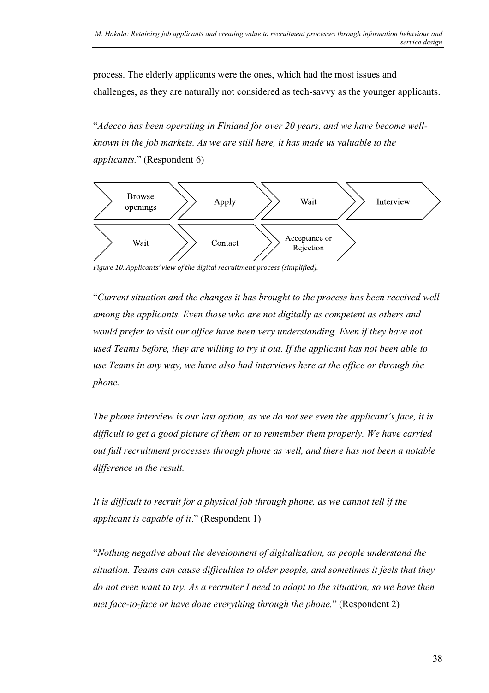process. The elderly applicants were the ones, which had the most issues and challenges, as they are naturally not considered as tech-savvy as the younger applicants.

"*Adecco has been operating in Finland for over 20 years, and we have become wellknown in the job markets. As we are still here, it has made us valuable to the applicants.*" (Respondent 6)



<span id="page-38-0"></span>*Figure 10. Applicants' view of the digital recruitment process (simplified).*

"*Current situation and the changes it has brought to the process has been received well among the applicants. Even those who are not digitally as competent as others and would prefer to visit our office have been very understanding. Even if they have not used Teams before, they are willing to try it out. If the applicant has not been able to use Teams in any way, we have also had interviews here at the office or through the phone.* 

*The phone interview is our last option, as we do not see even the applicant's face, it is difficult to get a good picture of them or to remember them properly. We have carried out full recruitment processes through phone as well, and there has not been a notable difference in the result.*

*It is difficult to recruit for a physical job through phone, as we cannot tell if the applicant is capable of it*." (Respondent 1)

"*Nothing negative about the development of digitalization, as people understand the situation. Teams can cause difficulties to older people, and sometimes it feels that they do not even want to try. As a recruiter I need to adapt to the situation, so we have then met face-to-face or have done everything through the phone.*" (Respondent 2)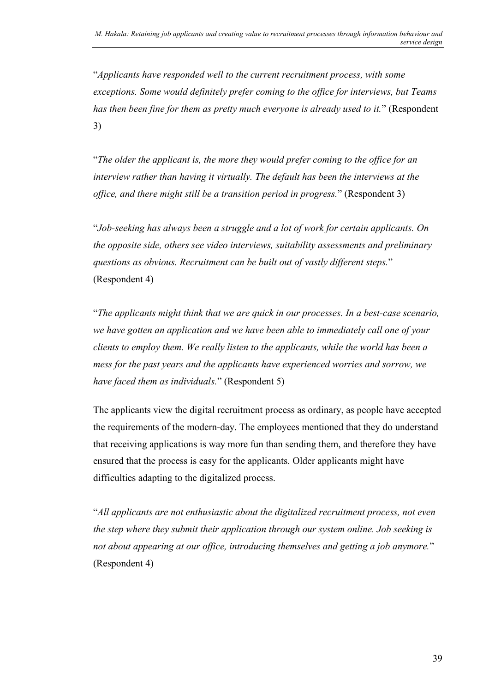"*Applicants have responded well to the current recruitment process, with some exceptions. Some would definitely prefer coming to the office for interviews, but Teams has then been fine for them as pretty much everyone is already used to it.*" (Respondent 3)

"*The older the applicant is, the more they would prefer coming to the office for an interview rather than having it virtually. The default has been the interviews at the office, and there might still be a transition period in progress.*" (Respondent 3)

"*Job-seeking has always been a struggle and a lot of work for certain applicants. On the opposite side, others see video interviews, suitability assessments and preliminary questions as obvious. Recruitment can be built out of vastly different steps.*" (Respondent 4)

"*The applicants might think that we are quick in our processes. In a best-case scenario, we have gotten an application and we have been able to immediately call one of your clients to employ them. We really listen to the applicants, while the world has been a mess for the past years and the applicants have experienced worries and sorrow, we have faced them as individuals.*" (Respondent 5)

The applicants view the digital recruitment process as ordinary, as people have accepted the requirements of the modern-day. The employees mentioned that they do understand that receiving applications is way more fun than sending them, and therefore they have ensured that the process is easy for the applicants. Older applicants might have difficulties adapting to the digitalized process.

"*All applicants are not enthusiastic about the digitalized recruitment process, not even the step where they submit their application through our system online. Job seeking is not about appearing at our office, introducing themselves and getting a job anymore.*" (Respondent 4)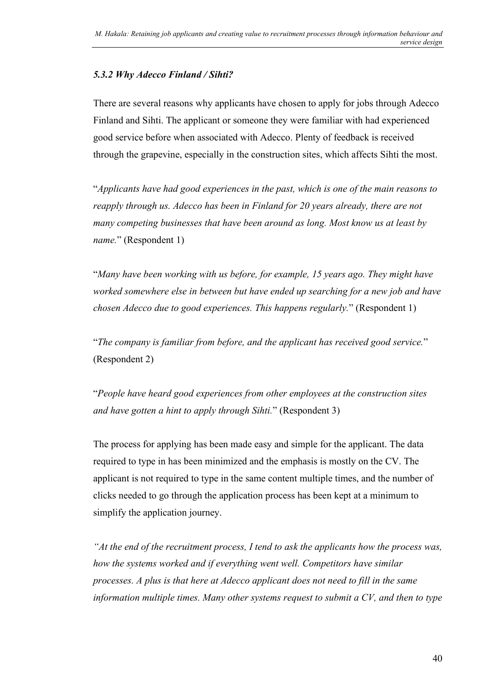#### <span id="page-40-0"></span>*5.3.2 Why Adecco Finland / Sihti?*

There are several reasons why applicants have chosen to apply for jobs through Adecco Finland and Sihti. The applicant or someone they were familiar with had experienced good service before when associated with Adecco. Plenty of feedback is received through the grapevine, especially in the construction sites, which affects Sihti the most.

"*Applicants have had good experiences in the past, which is one of the main reasons to reapply through us. Adecco has been in Finland for 20 years already, there are not many competing businesses that have been around as long. Most know us at least by name.*" (Respondent 1)

"*Many have been working with us before, for example, 15 years ago. They might have worked somewhere else in between but have ended up searching for a new job and have chosen Adecco due to good experiences. This happens regularly.*" (Respondent 1)

"*The company is familiar from before, and the applicant has received good service.*" (Respondent 2)

"*People have heard good experiences from other employees at the construction sites and have gotten a hint to apply through Sihti.*" (Respondent 3)

The process for applying has been made easy and simple for the applicant. The data required to type in has been minimized and the emphasis is mostly on the CV. The applicant is not required to type in the same content multiple times, and the number of clicks needed to go through the application process has been kept at a minimum to simplify the application journey.

*"At the end of the recruitment process, I tend to ask the applicants how the process was, how the systems worked and if everything went well. Competitors have similar processes. A plus is that here at Adecco applicant does not need to fill in the same information multiple times. Many other systems request to submit a CV, and then to type*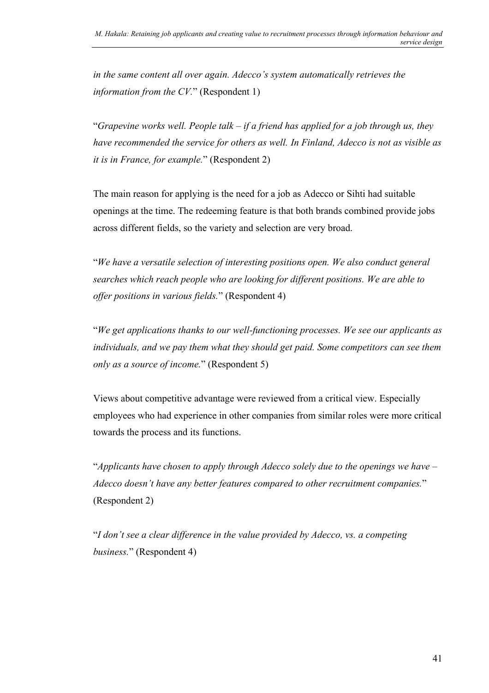*in the same content all over again. Adecco's system automatically retrieves the information from the CV.*" (Respondent 1)

"*Grapevine works well. People talk – if a friend has applied for a job through us, they have recommended the service for others as well. In Finland, Adecco is not as visible as it is in France, for example.*" (Respondent 2)

The main reason for applying is the need for a job as Adecco or Sihti had suitable openings at the time. The redeeming feature is that both brands combined provide jobs across different fields, so the variety and selection are very broad.

"*We have a versatile selection of interesting positions open. We also conduct general searches which reach people who are looking for different positions. We are able to offer positions in various fields.*" (Respondent 4)

"*We get applications thanks to our well-functioning processes. We see our applicants as individuals, and we pay them what they should get paid. Some competitors can see them only as a source of income.*" (Respondent 5)

Views about competitive advantage were reviewed from a critical view. Especially employees who had experience in other companies from similar roles were more critical towards the process and its functions.

"*Applicants have chosen to apply through Adecco solely due to the openings we have – Adecco doesn't have any better features compared to other recruitment companies.*" (Respondent 2)

"*I don't see a clear difference in the value provided by Adecco, vs. a competing business.*" (Respondent 4)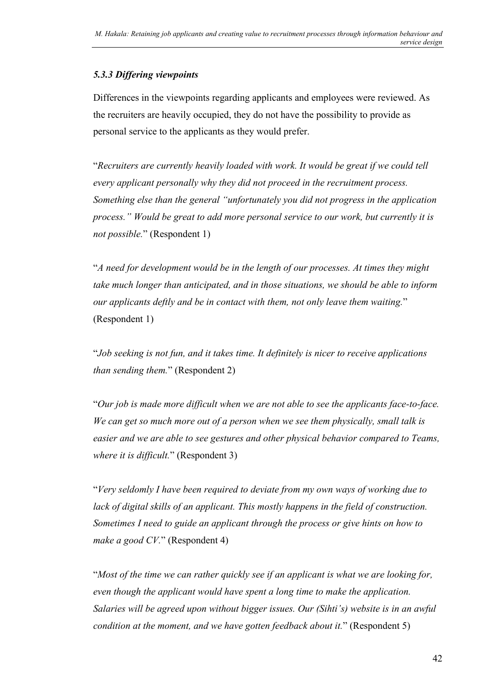#### <span id="page-42-0"></span>*5.3.3 Differing viewpoints*

Differences in the viewpoints regarding applicants and employees were reviewed. As the recruiters are heavily occupied, they do not have the possibility to provide as personal service to the applicants as they would prefer.

"*Recruiters are currently heavily loaded with work. It would be great if we could tell every applicant personally why they did not proceed in the recruitment process. Something else than the general "unfortunately you did not progress in the application process." Would be great to add more personal service to our work, but currently it is not possible.*" (Respondent 1)

"*A need for development would be in the length of our processes. At times they might take much longer than anticipated, and in those situations, we should be able to inform our applicants deftly and be in contact with them, not only leave them waiting.*" (Respondent 1)

"*Job seeking is not fun, and it takes time. It definitely is nicer to receive applications than sending them.*" (Respondent 2)

"*Our job is made more difficult when we are not able to see the applicants face-to-face. We can get so much more out of a person when we see them physically, small talk is easier and we are able to see gestures and other physical behavior compared to Teams, where it is difficult.*" (Respondent 3)

"*Very seldomly I have been required to deviate from my own ways of working due to lack of digital skills of an applicant. This mostly happens in the field of construction. Sometimes I need to guide an applicant through the process or give hints on how to make a good CV.*" (Respondent 4)

"*Most of the time we can rather quickly see if an applicant is what we are looking for, even though the applicant would have spent a long time to make the application. Salaries will be agreed upon without bigger issues. Our (Sihti's) website is in an awful condition at the moment, and we have gotten feedback about it.*" (Respondent 5)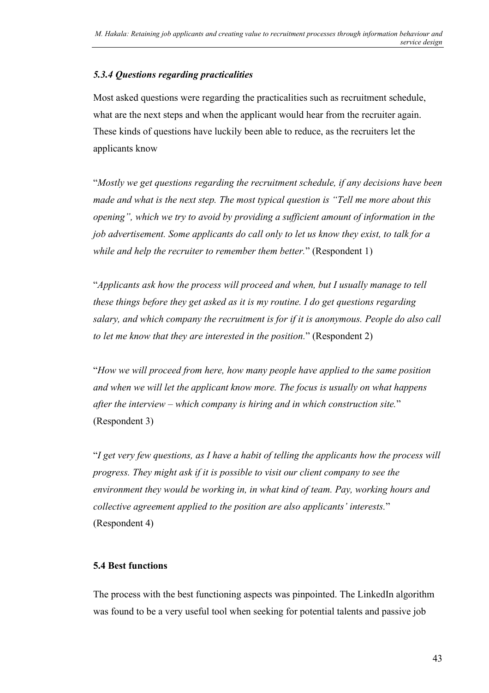#### <span id="page-43-0"></span>*5.3.4 Questions regarding practicalities*

Most asked questions were regarding the practicalities such as recruitment schedule, what are the next steps and when the applicant would hear from the recruiter again. These kinds of questions have luckily been able to reduce, as the recruiters let the applicants know

"*Mostly we get questions regarding the recruitment schedule, if any decisions have been made and what is the next step. The most typical question is "Tell me more about this opening", which we try to avoid by providing a sufficient amount of information in the job advertisement. Some applicants do call only to let us know they exist, to talk for a while and help the recruiter to remember them better.*" (Respondent 1)

"*Applicants ask how the process will proceed and when, but I usually manage to tell these things before they get asked as it is my routine. I do get questions regarding salary, and which company the recruitment is for if it is anonymous. People do also call to let me know that they are interested in the position.*" (Respondent 2)

"*How we will proceed from here, how many people have applied to the same position and when we will let the applicant know more. The focus is usually on what happens after the interview – which company is hiring and in which construction site.*" (Respondent 3)

"*I get very few questions, as I have a habit of telling the applicants how the process will progress. They might ask if it is possible to visit our client company to see the environment they would be working in, in what kind of team. Pay, working hours and collective agreement applied to the position are also applicants' interests.*" (Respondent 4)

### <span id="page-43-1"></span>**5.4 Best functions**

The process with the best functioning aspects was pinpointed. The LinkedIn algorithm was found to be a very useful tool when seeking for potential talents and passive job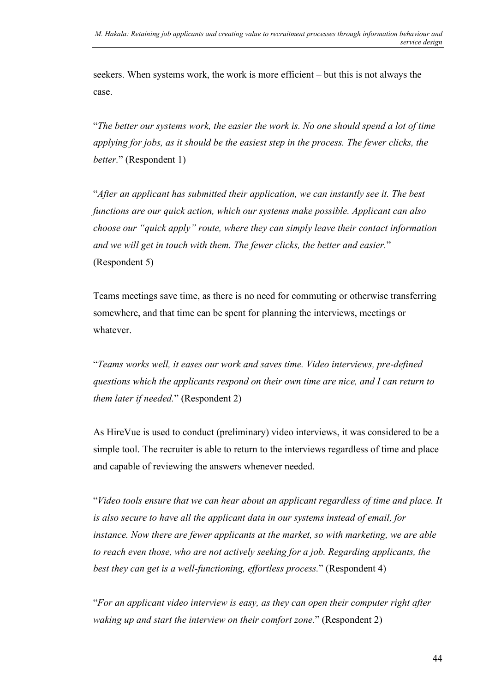seekers. When systems work, the work is more efficient – but this is not always the case.

"*The better our systems work, the easier the work is. No one should spend a lot of time applying for jobs, as it should be the easiest step in the process. The fewer clicks, the better.*" (Respondent 1)

"*After an applicant has submitted their application, we can instantly see it. The best functions are our quick action, which our systems make possible. Applicant can also choose our "quick apply" route, where they can simply leave their contact information and we will get in touch with them. The fewer clicks, the better and easier.*" (Respondent 5)

Teams meetings save time, as there is no need for commuting or otherwise transferring somewhere, and that time can be spent for planning the interviews, meetings or whatever.

"*Teams works well, it eases our work and saves time. Video interviews, pre-defined questions which the applicants respond on their own time are nice, and I can return to them later if needed.*" (Respondent 2)

As HireVue is used to conduct (preliminary) video interviews, it was considered to be a simple tool. The recruiter is able to return to the interviews regardless of time and place and capable of reviewing the answers whenever needed.

"*Video tools ensure that we can hear about an applicant regardless of time and place. It is also secure to have all the applicant data in our systems instead of email, for instance. Now there are fewer applicants at the market, so with marketing, we are able to reach even those, who are not actively seeking for a job. Regarding applicants, the best they can get is a well-functioning, effortless process.*" (Respondent 4)

"*For an applicant video interview is easy, as they can open their computer right after waking up and start the interview on their comfort zone.*" (Respondent 2)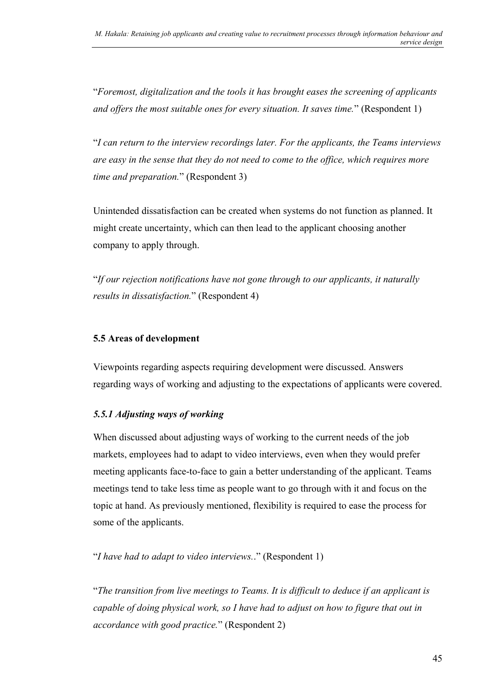"*Foremost, digitalization and the tools it has brought eases the screening of applicants and offers the most suitable ones for every situation. It saves time.*" (Respondent 1)

"*I can return to the interview recordings later. For the applicants, the Teams interviews are easy in the sense that they do not need to come to the office, which requires more time and preparation.*" (Respondent 3)

Unintended dissatisfaction can be created when systems do not function as planned. It might create uncertainty, which can then lead to the applicant choosing another company to apply through.

"*If our rejection notifications have not gone through to our applicants, it naturally results in dissatisfaction.*" (Respondent 4)

#### <span id="page-45-0"></span>**5.5 Areas of development**

Viewpoints regarding aspects requiring development were discussed. Answers regarding ways of working and adjusting to the expectations of applicants were covered.

#### <span id="page-45-1"></span>*5.5.1 Adjusting ways of working*

When discussed about adjusting ways of working to the current needs of the job markets, employees had to adapt to video interviews, even when they would prefer meeting applicants face-to-face to gain a better understanding of the applicant. Teams meetings tend to take less time as people want to go through with it and focus on the topic at hand. As previously mentioned, flexibility is required to ease the process for some of the applicants.

"*I have had to adapt to video interviews.*." (Respondent 1)

"*The transition from live meetings to Teams. It is difficult to deduce if an applicant is capable of doing physical work, so I have had to adjust on how to figure that out in accordance with good practice.*" (Respondent 2)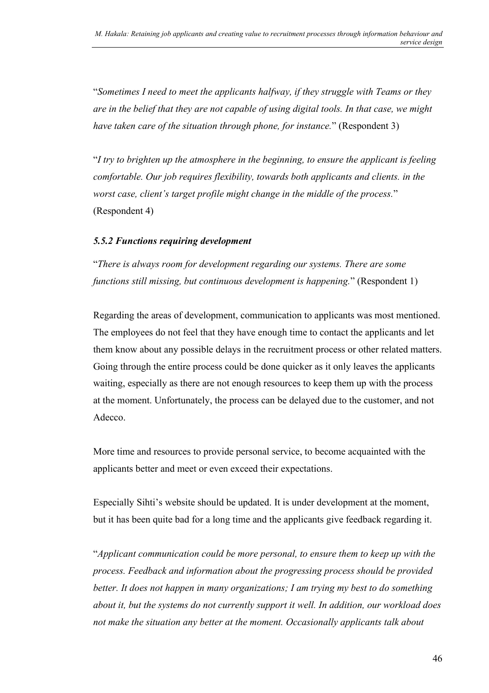"*Sometimes I need to meet the applicants halfway, if they struggle with Teams or they are in the belief that they are not capable of using digital tools. In that case, we might have taken care of the situation through phone, for instance.*" (Respondent 3)

"*I try to brighten up the atmosphere in the beginning, to ensure the applicant is feeling comfortable. Our job requires flexibility, towards both applicants and clients. in the worst case, client's target profile might change in the middle of the process.*" (Respondent 4)

#### <span id="page-46-0"></span>*5.5.2 Functions requiring development*

"*There is always room for development regarding our systems. There are some functions still missing, but continuous development is happening.*" (Respondent 1)

Regarding the areas of development, communication to applicants was most mentioned. The employees do not feel that they have enough time to contact the applicants and let them know about any possible delays in the recruitment process or other related matters. Going through the entire process could be done quicker as it only leaves the applicants waiting, especially as there are not enough resources to keep them up with the process at the moment. Unfortunately, the process can be delayed due to the customer, and not Adecco.

More time and resources to provide personal service, to become acquainted with the applicants better and meet or even exceed their expectations.

Especially Sihti's website should be updated. It is under development at the moment, but it has been quite bad for a long time and the applicants give feedback regarding it.

"*Applicant communication could be more personal, to ensure them to keep up with the process. Feedback and information about the progressing process should be provided better. It does not happen in many organizations; I am trying my best to do something about it, but the systems do not currently support it well. In addition, our workload does not make the situation any better at the moment. Occasionally applicants talk about*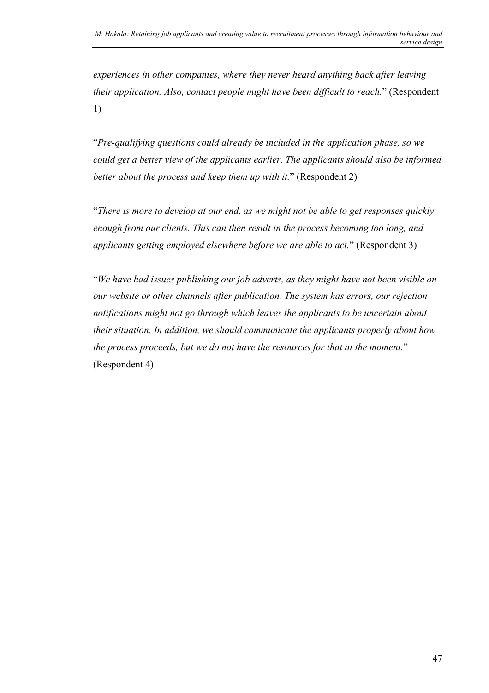*experiences in other companies, where they never heard anything back after leaving their application. Also, contact people might have been difficult to reach.*" (Respondent 1)

"*Pre-qualifying questions could already be included in the application phase, so we could get a better view of the applicants earlier. The applicants should also be informed better about the process and keep them up with it.*" (Respondent 2)

"*There is more to develop at our end, as we might not be able to get responses quickly enough from our clients. This can then result in the process becoming too long, and applicants getting employed elsewhere before we are able to act.*" (Respondent 3)

"*We have had issues publishing our job adverts, as they might have not been visible on our website or other channels after publication. The system has errors, our rejection notifications might not go through which leaves the applicants to be uncertain about their situation. In addition, we should communicate the applicants properly about how the process proceeds, but we do not have the resources for that at the moment.*" (Respondent 4)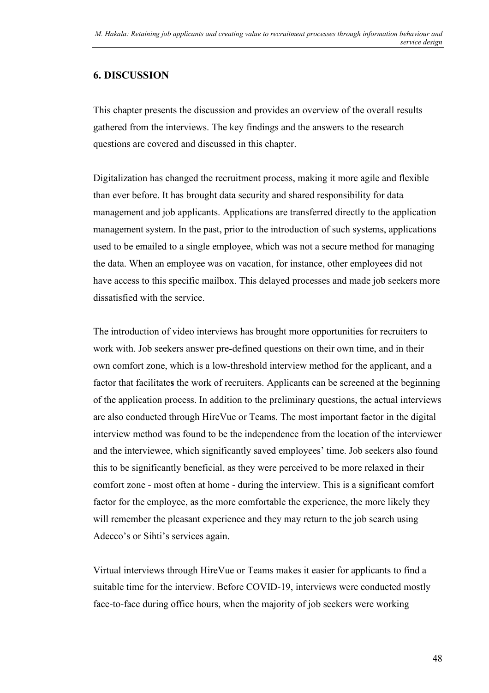#### <span id="page-48-0"></span>**6. DISCUSSION**

This chapter presents the discussion and provides an overview of the overall results gathered from the interviews. The key findings and the answers to the research questions are covered and discussed in this chapter.

Digitalization has changed the recruitment process, making it more agile and flexible than ever before. It has brought data security and shared responsibility for data management and job applicants. Applications are transferred directly to the application management system. In the past, prior to the introduction of such systems, applications used to be emailed to a single employee, which was not a secure method for managing the data. When an employee was on vacation, for instance, other employees did not have access to this specific mailbox. This delayed processes and made job seekers more dissatisfied with the service.

The introduction of video interviews has brought more opportunities for recruiters to work with. Job seekers answer pre-defined questions on their own time, and in their own comfort zone, which is a low-threshold interview method for the applicant, and a factor that facilitate**s** the work of recruiters. Applicants can be screened at the beginning of the application process. In addition to the preliminary questions, the actual interviews are also conducted through HireVue or Teams. The most important factor in the digital interview method was found to be the independence from the location of the interviewer and the interviewee, which significantly saved employees' time. Job seekers also found this to be significantly beneficial, as they were perceived to be more relaxed in their comfort zone - most often at home - during the interview. This is a significant comfort factor for the employee, as the more comfortable the experience, the more likely they will remember the pleasant experience and they may return to the job search using Adecco's or Sihti's services again.

Virtual interviews through HireVue or Teams makes it easier for applicants to find a suitable time for the interview. Before COVID-19, interviews were conducted mostly face-to-face during office hours, when the majority of job seekers were working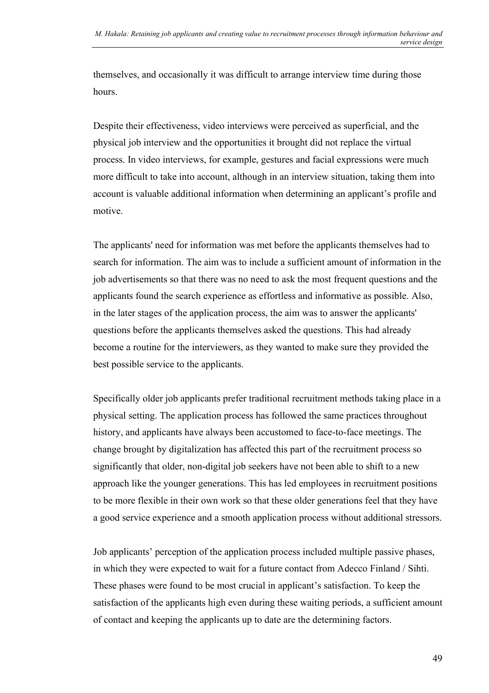themselves, and occasionally it was difficult to arrange interview time during those hours.

Despite their effectiveness, video interviews were perceived as superficial, and the physical job interview and the opportunities it brought did not replace the virtual process. In video interviews, for example, gestures and facial expressions were much more difficult to take into account, although in an interview situation, taking them into account is valuable additional information when determining an applicant's profile and motive.

The applicants' need for information was met before the applicants themselves had to search for information. The aim was to include a sufficient amount of information in the job advertisements so that there was no need to ask the most frequent questions and the applicants found the search experience as effortless and informative as possible. Also, in the later stages of the application process, the aim was to answer the applicants' questions before the applicants themselves asked the questions. This had already become a routine for the interviewers, as they wanted to make sure they provided the best possible service to the applicants.

Specifically older job applicants prefer traditional recruitment methods taking place in a physical setting. The application process has followed the same practices throughout history, and applicants have always been accustomed to face-to-face meetings. The change brought by digitalization has affected this part of the recruitment process so significantly that older, non-digital job seekers have not been able to shift to a new approach like the younger generations. This has led employees in recruitment positions to be more flexible in their own work so that these older generations feel that they have a good service experience and a smooth application process without additional stressors.

Job applicants' perception of the application process included multiple passive phases, in which they were expected to wait for a future contact from Adecco Finland / Sihti. These phases were found to be most crucial in applicant's satisfaction. To keep the satisfaction of the applicants high even during these waiting periods, a sufficient amount of contact and keeping the applicants up to date are the determining factors.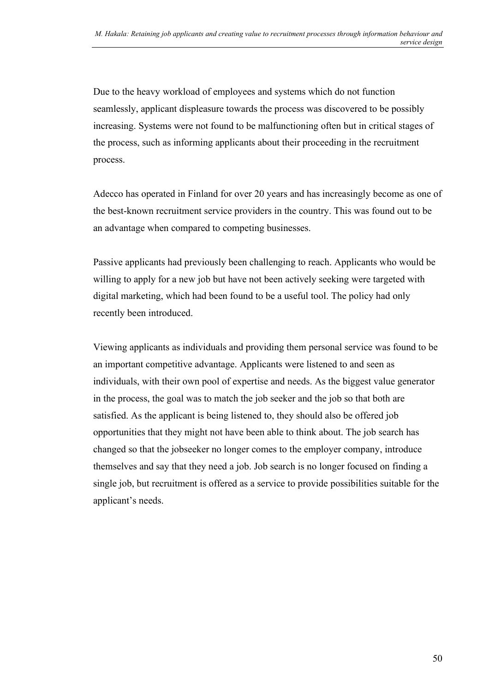Due to the heavy workload of employees and systems which do not function seamlessly, applicant displeasure towards the process was discovered to be possibly increasing. Systems were not found to be malfunctioning often but in critical stages of the process, such as informing applicants about their proceeding in the recruitment process.

Adecco has operated in Finland for over 20 years and has increasingly become as one of the best-known recruitment service providers in the country. This was found out to be an advantage when compared to competing businesses.

Passive applicants had previously been challenging to reach. Applicants who would be willing to apply for a new job but have not been actively seeking were targeted with digital marketing, which had been found to be a useful tool. The policy had only recently been introduced.

Viewing applicants as individuals and providing them personal service was found to be an important competitive advantage. Applicants were listened to and seen as individuals, with their own pool of expertise and needs. As the biggest value generator in the process, the goal was to match the job seeker and the job so that both are satisfied. As the applicant is being listened to, they should also be offered job opportunities that they might not have been able to think about. The job search has changed so that the jobseeker no longer comes to the employer company, introduce themselves and say that they need a job. Job search is no longer focused on finding a single job, but recruitment is offered as a service to provide possibilities suitable for the applicant's needs.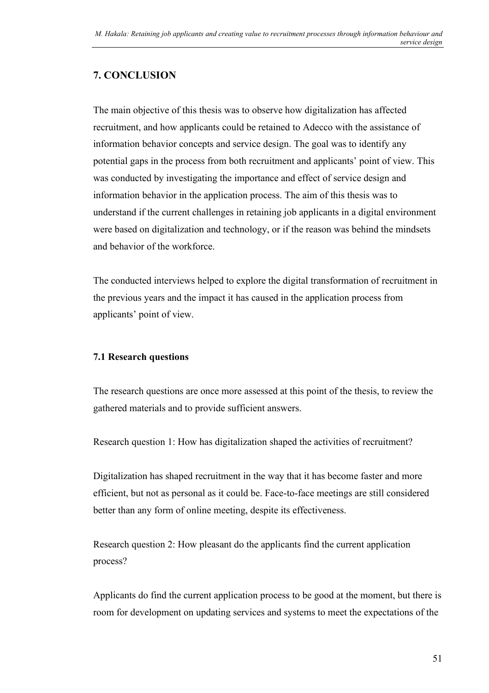# <span id="page-51-0"></span>**7. CONCLUSION**

The main objective of this thesis was to observe how digitalization has affected recruitment, and how applicants could be retained to Adecco with the assistance of information behavior concepts and service design. The goal was to identify any potential gaps in the process from both recruitment and applicants' point of view. This was conducted by investigating the importance and effect of service design and information behavior in the application process. The aim of this thesis was to understand if the current challenges in retaining job applicants in a digital environment were based on digitalization and technology, or if the reason was behind the mindsets and behavior of the workforce.

The conducted interviews helped to explore the digital transformation of recruitment in the previous years and the impact it has caused in the application process from applicants' point of view.

#### <span id="page-51-1"></span>**7.1 Research questions**

The research questions are once more assessed at this point of the thesis, to review the gathered materials and to provide sufficient answers.

Research question 1: How has digitalization shaped the activities of recruitment?

Digitalization has shaped recruitment in the way that it has become faster and more efficient, but not as personal as it could be. Face-to-face meetings are still considered better than any form of online meeting, despite its effectiveness.

Research question 2: How pleasant do the applicants find the current application process?

Applicants do find the current application process to be good at the moment, but there is room for development on updating services and systems to meet the expectations of the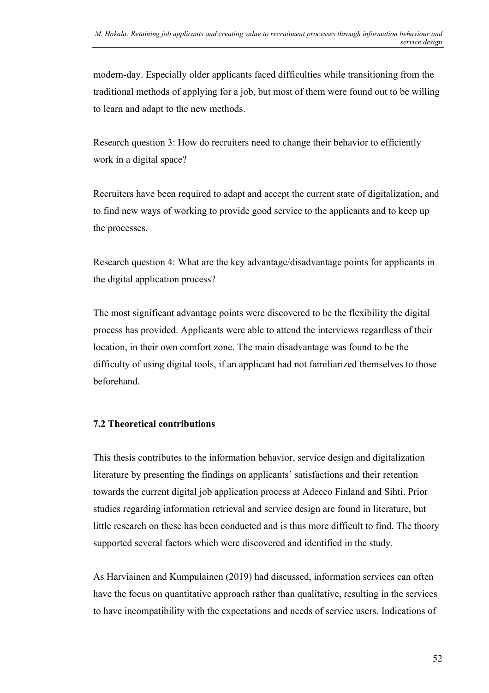modern-day. Especially older applicants faced difficulties while transitioning from the traditional methods of applying for a job, but most of them were found out to be willing to learn and adapt to the new methods.

Research question 3: How do recruiters need to change their behavior to efficiently work in a digital space?

Recruiters have been required to adapt and accept the current state of digitalization, and to find new ways of working to provide good service to the applicants and to keep up the processes.

Research question 4: What are the key advantage/disadvantage points for applicants in the digital application process?

The most significant advantage points were discovered to be the flexibility the digital process has provided. Applicants were able to attend the interviews regardless of their location, in their own comfort zone. The main disadvantage was found to be the difficulty of using digital tools, if an applicant had not familiarized themselves to those beforehand.

#### <span id="page-52-0"></span>**7.2 Theoretical contributions**

This thesis contributes to the information behavior, service design and digitalization literature by presenting the findings on applicants' satisfactions and their retention towards the current digital job application process at Adecco Finland and Sihti. Prior studies regarding information retrieval and service design are found in literature, but little research on these has been conducted and is thus more difficult to find. The theory supported several factors which were discovered and identified in the study.

As Harviainen and Kumpulainen (2019) had discussed, information services can often have the focus on quantitative approach rather than qualitative, resulting in the services to have incompatibility with the expectations and needs of service users. Indications of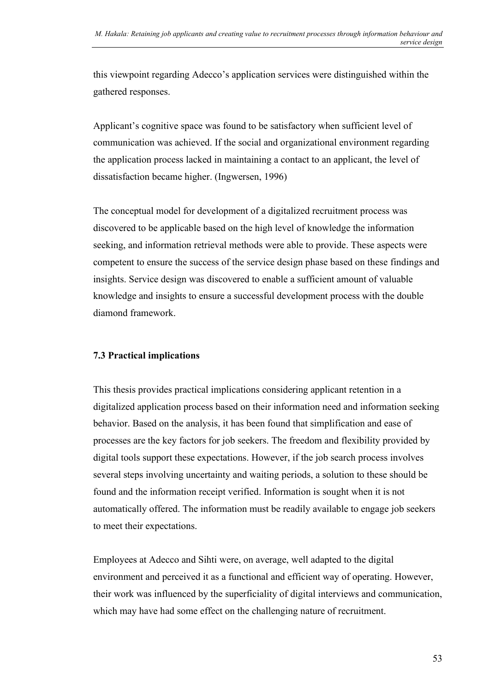this viewpoint regarding Adecco's application services were distinguished within the gathered responses.

Applicant's cognitive space was found to be satisfactory when sufficient level of communication was achieved. If the social and organizational environment regarding the application process lacked in maintaining a contact to an applicant, the level of dissatisfaction became higher. (Ingwersen, 1996)

The conceptual model for development of a digitalized recruitment process was discovered to be applicable based on the high level of knowledge the information seeking, and information retrieval methods were able to provide. These aspects were competent to ensure the success of the service design phase based on these findings and insights. Service design was discovered to enable a sufficient amount of valuable knowledge and insights to ensure a successful development process with the double diamond framework.

#### <span id="page-53-0"></span>**7.3 Practical implications**

This thesis provides practical implications considering applicant retention in a digitalized application process based on their information need and information seeking behavior. Based on the analysis, it has been found that simplification and ease of processes are the key factors for job seekers. The freedom and flexibility provided by digital tools support these expectations. However, if the job search process involves several steps involving uncertainty and waiting periods, a solution to these should be found and the information receipt verified. Information is sought when it is not automatically offered. The information must be readily available to engage job seekers to meet their expectations.

Employees at Adecco and Sihti were, on average, well adapted to the digital environment and perceived it as a functional and efficient way of operating. However, their work was influenced by the superficiality of digital interviews and communication, which may have had some effect on the challenging nature of recruitment.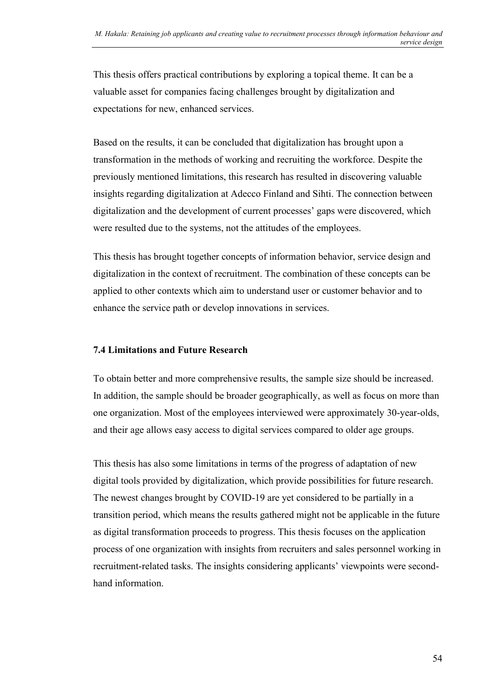This thesis offers practical contributions by exploring a topical theme. It can be a valuable asset for companies facing challenges brought by digitalization and expectations for new, enhanced services.

Based on the results, it can be concluded that digitalization has brought upon a transformation in the methods of working and recruiting the workforce. Despite the previously mentioned limitations, this research has resulted in discovering valuable insights regarding digitalization at Adecco Finland and Sihti. The connection between digitalization and the development of current processes' gaps were discovered, which were resulted due to the systems, not the attitudes of the employees.

This thesis has brought together concepts of information behavior, service design and digitalization in the context of recruitment. The combination of these concepts can be applied to other contexts which aim to understand user or customer behavior and to enhance the service path or develop innovations in services.

#### <span id="page-54-0"></span>**7.4 Limitations and Future Research**

To obtain better and more comprehensive results, the sample size should be increased. In addition, the sample should be broader geographically, as well as focus on more than one organization. Most of the employees interviewed were approximately 30-year-olds, and their age allows easy access to digital services compared to older age groups.

This thesis has also some limitations in terms of the progress of adaptation of new digital tools provided by digitalization, which provide possibilities for future research. The newest changes brought by COVID-19 are yet considered to be partially in a transition period, which means the results gathered might not be applicable in the future as digital transformation proceeds to progress. This thesis focuses on the application process of one organization with insights from recruiters and sales personnel working in recruitment-related tasks. The insights considering applicants' viewpoints were secondhand information.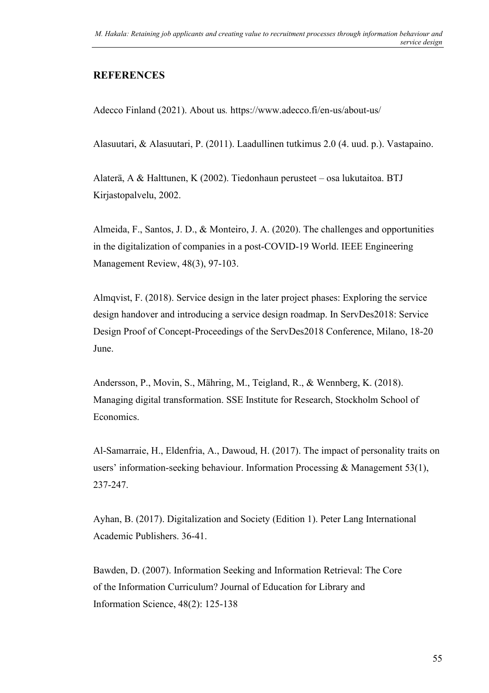#### <span id="page-55-0"></span>**REFERENCES**

Adecco Finland (2021). About us*.* https://www.adecco.fi/en-us/about-us/

Alasuutari, & Alasuutari, P. (2011). Laadullinen tutkimus 2.0 (4. uud. p.). Vastapaino.

Alaterä, A & Halttunen, K (2002). Tiedonhaun perusteet – osa lukutaitoa. BTJ Kirjastopalvelu, 2002.

Almeida, F., Santos, J. D., & Monteiro, J. A. (2020). The challenges and opportunities in the digitalization of companies in a post-COVID-19 World. IEEE Engineering Management Review, 48(3), 97-103.

Almqvist, F. (2018). Service design in the later project phases: Exploring the service design handover and introducing a service design roadmap. In ServDes2018: Service Design Proof of Concept-Proceedings of the ServDes2018 Conference, Milano, 18-20 June.

Andersson, P., Movin, S., Mähring, M., Teigland, R., & Wennberg, K. (2018). Managing digital transformation. SSE Institute for Research, Stockholm School of Economics.

Al-Samarraie, H., Eldenfria, A., Dawoud, H. (2017). The impact of personality traits on users' information-seeking behaviour. Information Processing & Management 53(1), 237-247.

Ayhan, B. (2017). Digitalization and Society (Edition 1). Peter Lang International Academic Publishers. 36-41.

Bawden, D. (2007). Information Seeking and Information Retrieval: The Core of the Information Curriculum? Journal of Education for Library and Information Science, 48(2): 125-138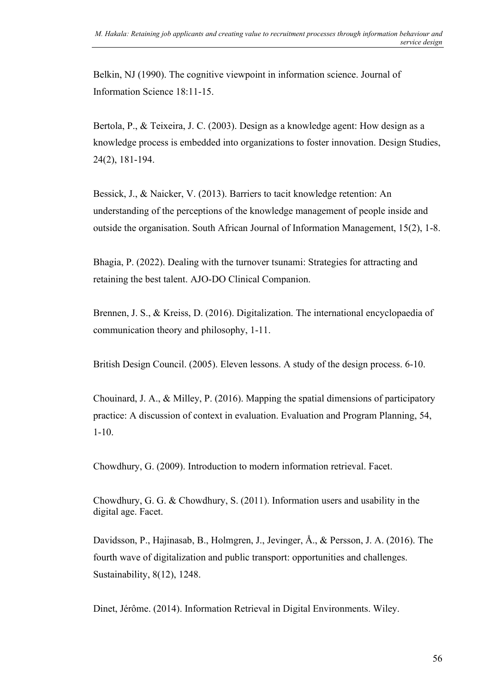Belkin, NJ (1990). The cognitive viewpoint in information science. Journal of Information Science 18:11-15.

Bertola, P., & Teixeira, J. C. (2003). Design as a knowledge agent: How design as a knowledge process is embedded into organizations to foster innovation. Design Studies, 24(2), 181-194.

Bessick, J., & Naicker, V. (2013). Barriers to tacit knowledge retention: An understanding of the perceptions of the knowledge management of people inside and outside the organisation. South African Journal of Information Management, 15(2), 1-8.

Bhagia, P. (2022). Dealing with the turnover tsunami: Strategies for attracting and retaining the best talent. AJO-DO Clinical Companion.

Brennen, J. S., & Kreiss, D. (2016). Digitalization. The international encyclopaedia of communication theory and philosophy, 1-11.

British Design Council. (2005). Eleven lessons. A study of the design process. 6-10.

Chouinard, J. A., & Milley, P. (2016). Mapping the spatial dimensions of participatory practice: A discussion of context in evaluation. Evaluation and Program Planning, 54, 1-10.

Chowdhury, G. (2009). Introduction to modern information retrieval. Facet.

Chowdhury, G. G. & Chowdhury, S. (2011). Information users and usability in the digital age. Facet.

Davidsson, P., Hajinasab, B., Holmgren, J., Jevinger, Å., & Persson, J. A. (2016). The fourth wave of digitalization and public transport: opportunities and challenges. Sustainability, 8(12), 1248.

Dinet, Jérôme. (2014). Information Retrieval in Digital Environments. Wiley.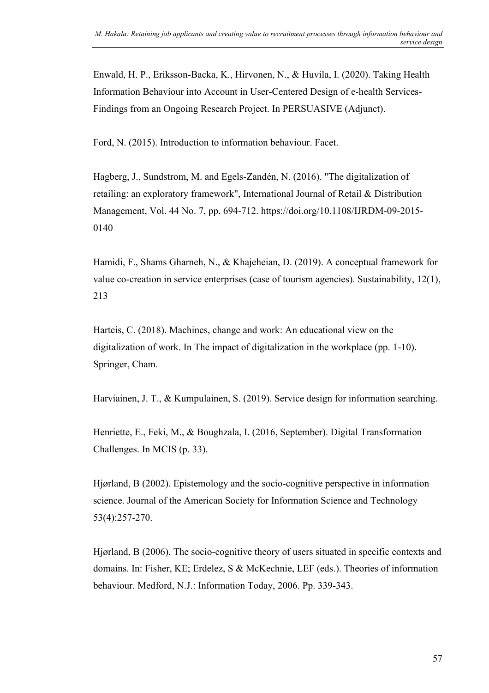Enwald, H. P., Eriksson-Backa, K., Hirvonen, N., & Huvila, I. (2020). Taking Health Information Behaviour into Account in User-Centered Design of e-health Services-Findings from an Ongoing Research Project. In PERSUASIVE (Adjunct).

Ford, N. (2015). Introduction to information behaviour. Facet.

Hagberg, J., Sundstrom, M. and Egels-Zandén, N. (2016). "The digitalization of retailing: an exploratory framework", International Journal of Retail & Distribution Management, Vol. 44 No. 7, pp. 694-712. https://doi.org/10.1108/IJRDM-09-2015- 0140

Hamidi, F., Shams Gharneh, N., & Khajeheian, D. (2019). A conceptual framework for value co-creation in service enterprises (case of tourism agencies). Sustainability, 12(1), 213

Harteis, C. (2018). Machines, change and work: An educational view on the digitalization of work. In The impact of digitalization in the workplace (pp. 1-10). Springer, Cham.

Harviainen, J. T., & Kumpulainen, S. (2019). Service design for information searching.

Henriette, E., Feki, M., & Boughzala, I. (2016, September). Digital Transformation Challenges. In MCIS (p. 33).

Hjørland, B (2002). Epistemology and the socio-cognitive perspective in information science. Journal of the American Society for Information Science and Technology 53(4):257-270.

Hjørland, B (2006). The socio-cognitive theory of users situated in specific contexts and domains. In: Fisher, KE; Erdelez, S & McKechnie, LEF (eds.). Theories of information behaviour. Medford, N.J.: Information Today, 2006. Pp. 339-343.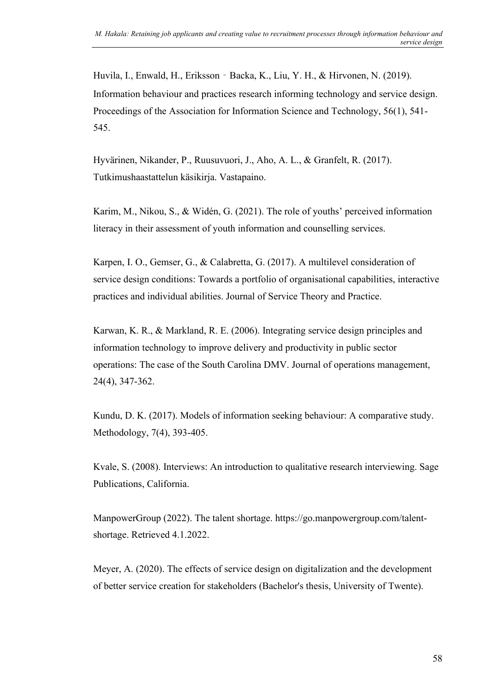Huvila, I., Enwald, H., Eriksson‐Backa, K., Liu, Y. H., & Hirvonen, N. (2019). Information behaviour and practices research informing technology and service design. Proceedings of the Association for Information Science and Technology, 56(1), 541- 545.

Hyvärinen, Nikander, P., Ruusuvuori, J., Aho, A. L., & Granfelt, R. (2017). Tutkimushaastattelun käsikirja. Vastapaino.

Karim, M., Nikou, S., & Widén, G. (2021). The role of youths' perceived information literacy in their assessment of youth information and counselling services.

Karpen, I. O., Gemser, G., & Calabretta, G. (2017). A multilevel consideration of service design conditions: Towards a portfolio of organisational capabilities, interactive practices and individual abilities. Journal of Service Theory and Practice.

Karwan, K. R., & Markland, R. E. (2006). Integrating service design principles and information technology to improve delivery and productivity in public sector operations: The case of the South Carolina DMV. Journal of operations management, 24(4), 347-362.

Kundu, D. K. (2017). Models of information seeking behaviour: A comparative study. Methodology, 7(4), 393-405.

Kvale, S. (2008). Interviews: An introduction to qualitative research interviewing. Sage Publications, California.

ManpowerGroup (2022). The talent shortage. https://go.manpowergroup.com/talentshortage. Retrieved 4.1.2022.

Meyer, A. (2020). The effects of service design on digitalization and the development of better service creation for stakeholders (Bachelor's thesis, University of Twente).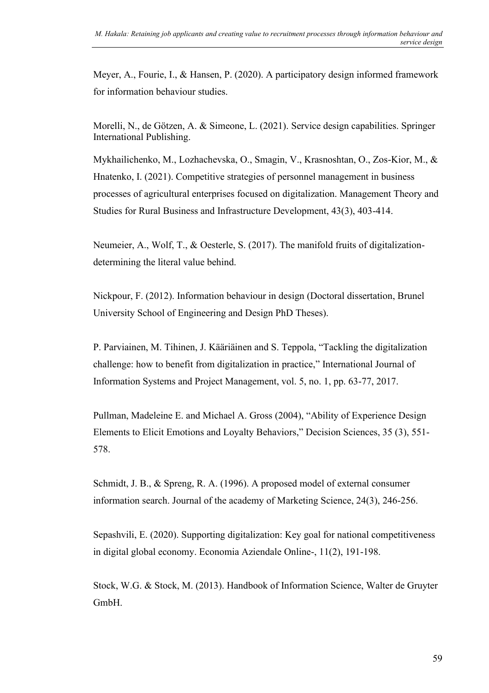Meyer, A., Fourie, I., & Hansen, P. (2020). A participatory design informed framework for information behaviour studies.

Morelli, N., de Götzen, A. & Simeone, L. (2021). Service design capabilities. Springer International Publishing.

Mykhailichenko, M., Lozhachevska, O., Smagin, V., Krasnoshtan, O., Zos-Kior, M., & Hnatenko, I. (2021). Competitive strategies of personnel management in business processes of agricultural enterprises focused on digitalization. Management Theory and Studies for Rural Business and Infrastructure Development, 43(3), 403-414.

Neumeier, A., Wolf, T., & Oesterle, S. (2017). The manifold fruits of digitalizationdetermining the literal value behind.

Nickpour, F. (2012). Information behaviour in design (Doctoral dissertation, Brunel University School of Engineering and Design PhD Theses).

P. Parviainen, M. Tihinen, J. Kääriäinen and S. Teppola, "Tackling the digitalization challenge: how to benefit from digitalization in practice," International Journal of Information Systems and Project Management, vol. 5, no. 1, pp. 63-77, 2017.

Pullman, Madeleine E. and Michael A. Gross (2004), "Ability of Experience Design Elements to Elicit Emotions and Loyalty Behaviors," Decision Sciences, 35 (3), 551- 578.

Schmidt, J. B., & Spreng, R. A. (1996). A proposed model of external consumer information search. Journal of the academy of Marketing Science, 24(3), 246-256.

Sepashvili, E. (2020). Supporting digitalization: Key goal for national competitiveness in digital global economy. Economia Aziendale Online-, 11(2), 191-198.

Stock, W.G. & Stock, M. (2013). Handbook of Information Science, Walter de Gruyter GmbH.